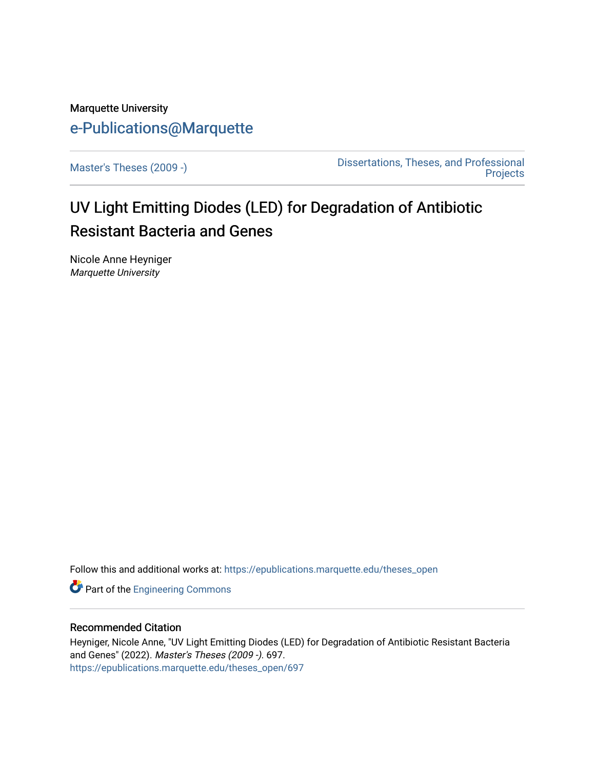# Marquette University [e-Publications@Marquette](https://epublications.marquette.edu/)

[Master's Theses \(2009 -\)](https://epublications.marquette.edu/theses_open) [Dissertations, Theses, and Professional](https://epublications.marquette.edu/diss_theses)  **Projects** 

# UV Light Emitting Diodes (LED) for Degradation of Antibiotic Resistant Bacteria and Genes

Nicole Anne Heyniger Marquette University

Follow this and additional works at: [https://epublications.marquette.edu/theses\\_open](https://epublications.marquette.edu/theses_open?utm_source=epublications.marquette.edu%2Ftheses_open%2F697&utm_medium=PDF&utm_campaign=PDFCoverPages) 

**Part of the [Engineering Commons](http://network.bepress.com/hgg/discipline/217?utm_source=epublications.marquette.edu%2Ftheses_open%2F697&utm_medium=PDF&utm_campaign=PDFCoverPages)** 

# Recommended Citation

Heyniger, Nicole Anne, "UV Light Emitting Diodes (LED) for Degradation of Antibiotic Resistant Bacteria and Genes" (2022). Master's Theses (2009 -). 697. [https://epublications.marquette.edu/theses\\_open/697](https://epublications.marquette.edu/theses_open/697?utm_source=epublications.marquette.edu%2Ftheses_open%2F697&utm_medium=PDF&utm_campaign=PDFCoverPages)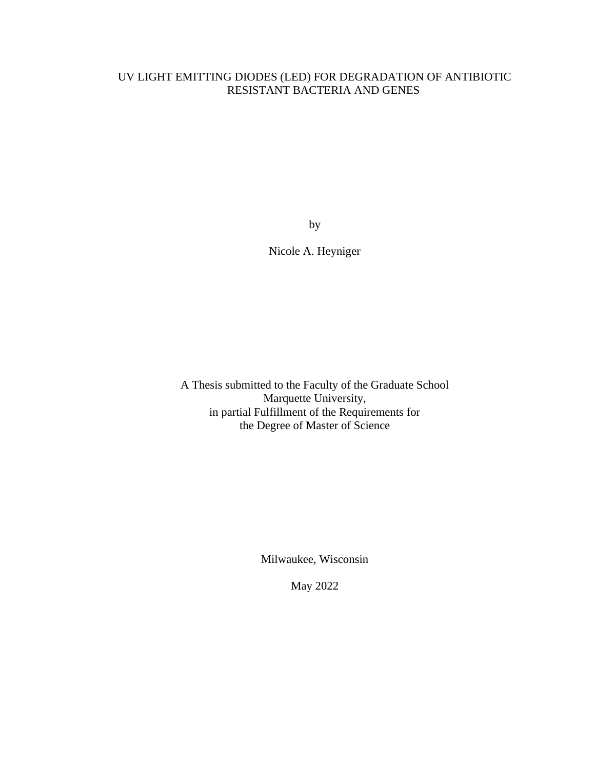# UV LIGHT EMITTING DIODES (LED) FOR DEGRADATION OF ANTIBIOTIC RESISTANT BACTERIA AND GENES

by

Nicole A. Heyniger

A Thesis submitted to the Faculty of the Graduate School Marquette University, in partial Fulfillment of the Requirements for the Degree of Master of Science

Milwaukee, Wisconsin

May 2022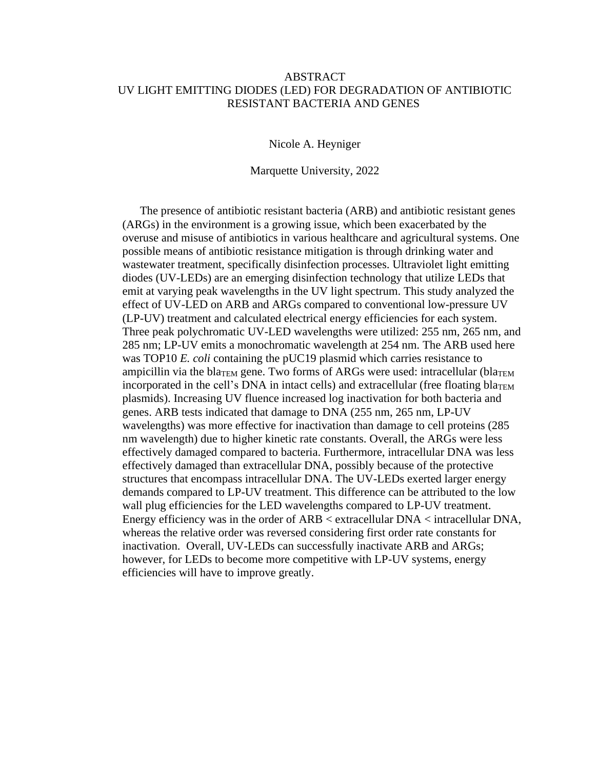### ABSTRACT UV LIGHT EMITTING DIODES (LED) FOR DEGRADATION OF ANTIBIOTIC RESISTANT BACTERIA AND GENES

Nicole A. Heyniger

Marquette University, 2022

The presence of antibiotic resistant bacteria (ARB) and antibiotic resistant genes (ARGs) in the environment is a growing issue, which been exacerbated by the overuse and misuse of antibiotics in various healthcare and agricultural systems. One possible means of antibiotic resistance mitigation is through drinking water and wastewater treatment, specifically disinfection processes. Ultraviolet light emitting diodes (UV-LEDs) are an emerging disinfection technology that utilize LEDs that emit at varying peak wavelengths in the UV light spectrum. This study analyzed the effect of UV-LED on ARB and ARGs compared to conventional low-pressure UV (LP-UV) treatment and calculated electrical energy efficiencies for each system. Three peak polychromatic UV-LED wavelengths were utilized: 255 nm, 265 nm, and 285 nm; LP-UV emits a monochromatic wavelength at 254 nm. The ARB used here was TOP10 *E. coli* containing the pUC19 plasmid which carries resistance to ampicillin via the bla<sub>TEM</sub> gene. Two forms of ARGs were used: intracellular (bla<sub>TEM</sub> incorporated in the cell's DNA in intact cells) and extracellular (free floating bla<sub>TEM</sub> plasmids). Increasing UV fluence increased log inactivation for both bacteria and genes. ARB tests indicated that damage to DNA (255 nm, 265 nm, LP-UV wavelengths) was more effective for inactivation than damage to cell proteins (285 nm wavelength) due to higher kinetic rate constants. Overall, the ARGs were less effectively damaged compared to bacteria. Furthermore, intracellular DNA was less effectively damaged than extracellular DNA, possibly because of the protective structures that encompass intracellular DNA. The UV-LEDs exerted larger energy demands compared to LP-UV treatment. This difference can be attributed to the low wall plug efficiencies for the LED wavelengths compared to LP-UV treatment. Energy efficiency was in the order of ARB < extracellular DNA < intracellular DNA, whereas the relative order was reversed considering first order rate constants for inactivation. Overall, UV-LEDs can successfully inactivate ARB and ARGs; however, for LEDs to become more competitive with LP-UV systems, energy efficiencies will have to improve greatly.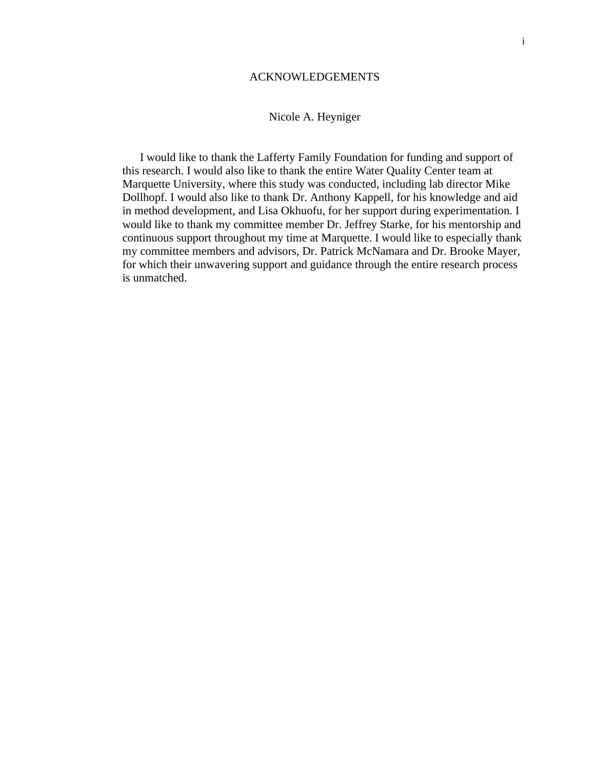#### ACKNOWLEDGEMENTS

# Nicole A. Heyniger

I would like to thank the Lafferty Family Foundation for funding and support of this research. I would also like to thank the entire Water Quality Center team at Marquette University, where this study was conducted, including lab director Mike Dollhopf. I would also like to thank Dr. Anthony Kappell, for his knowledge and aid in method development, and Lisa Okhuofu, for her support during experimentation. I would like to thank my committee member Dr. Jeffrey Starke, for his mentorship and continuous support throughout my time at Marquette. I would like to especially thank my committee members and advisors, Dr. Patrick McNamara and Dr. Brooke Mayer, for which their unwavering support and guidance through the entire research process is unmatched.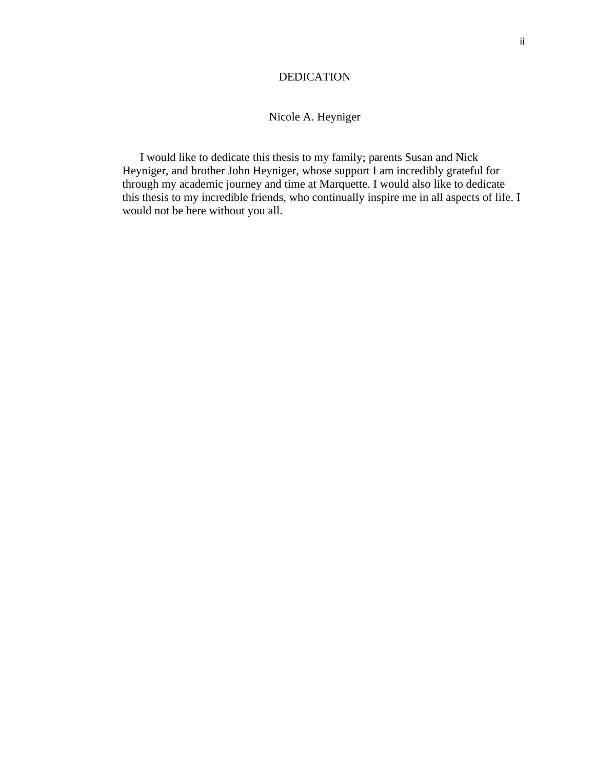### DEDICATION

# Nicole A. Heyniger

I would like to dedicate this thesis to my family; parents Susan and Nick Heyniger, and brother John Heyniger, whose support I am incredibly grateful for through my academic journey and time at Marquette. I would also like to dedicate this thesis to my incredible friends, who continually inspire me in all aspects of life. I would not be here without you all.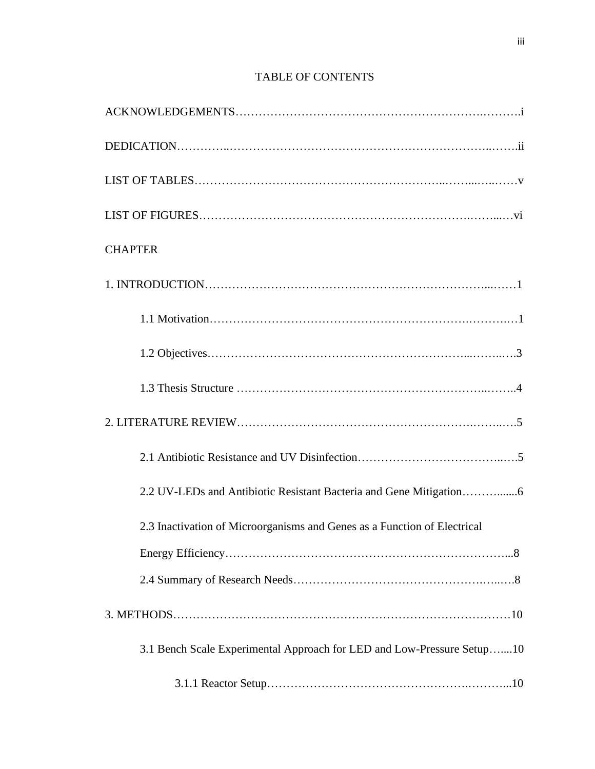# TABLE OF CONTENTS

| <b>CHAPTER</b>                                                           |
|--------------------------------------------------------------------------|
|                                                                          |
|                                                                          |
|                                                                          |
|                                                                          |
|                                                                          |
|                                                                          |
| 2.2 UV-LEDs and Antibiotic Resistant Bacteria and Gene Mitigation6       |
| 2.3 Inactivation of Microorganisms and Genes as a Function of Electrical |
|                                                                          |
|                                                                          |
|                                                                          |
| 3.1 Bench Scale Experimental Approach for LED and Low-Pressure Setup10   |
|                                                                          |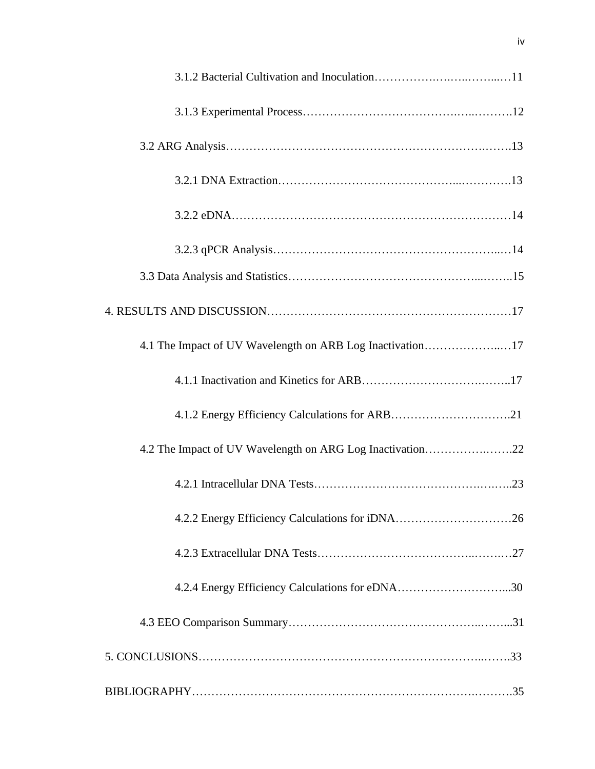| 4.1 The Impact of UV Wavelength on ARB Log Inactivation17 |
|-----------------------------------------------------------|
|                                                           |
| 4.1.2 Energy Efficiency Calculations for ARB21            |
| 4.2 The Impact of UV Wavelength on ARG Log Inactivation22 |
|                                                           |
|                                                           |
|                                                           |
|                                                           |
|                                                           |
|                                                           |
|                                                           |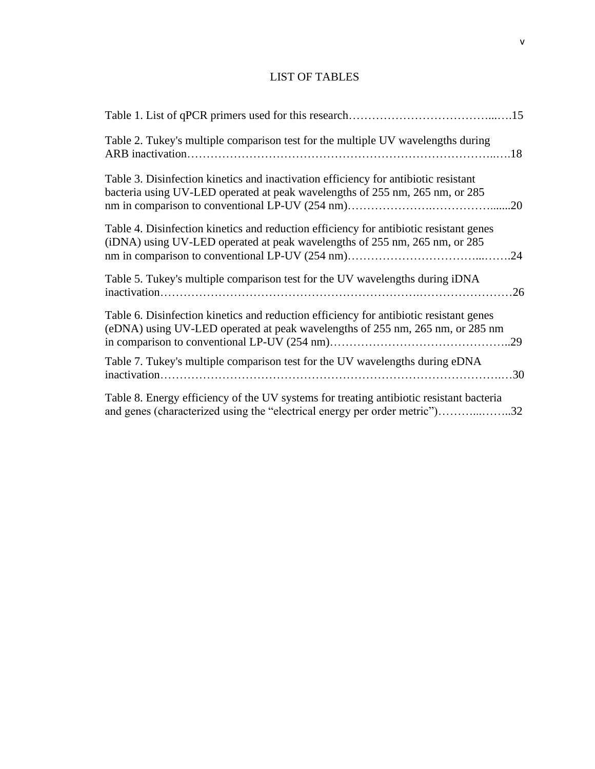# LIST OF TABLES

| Table 2. Tukey's multiple comparison test for the multiple UV wavelengths during                                                                                            |  |
|-----------------------------------------------------------------------------------------------------------------------------------------------------------------------------|--|
| Table 3. Disinfection kinetics and inactivation efficiency for antibiotic resistant<br>bacteria using UV-LED operated at peak wavelengths of 255 nm, 265 nm, or 285<br>20   |  |
| Table 4. Disinfection kinetics and reduction efficiency for antibiotic resistant genes<br>(iDNA) using UV-LED operated at peak wavelengths of 255 nm, 265 nm, or 285<br>.24 |  |
| Table 5. Tukey's multiple comparison test for the UV wavelengths during iDNA                                                                                                |  |
| Table 6. Disinfection kinetics and reduction efficiency for antibiotic resistant genes<br>(eDNA) using UV-LED operated at peak wavelengths of 255 nm, 265 nm, or 285 nm     |  |
| Table 7. Tukey's multiple comparison test for the UV wavelengths during eDNA                                                                                                |  |
| Table 8. Energy efficiency of the UV systems for treating antibiotic resistant bacteria<br>and genes (characterized using the "electrical energy per order metric")32       |  |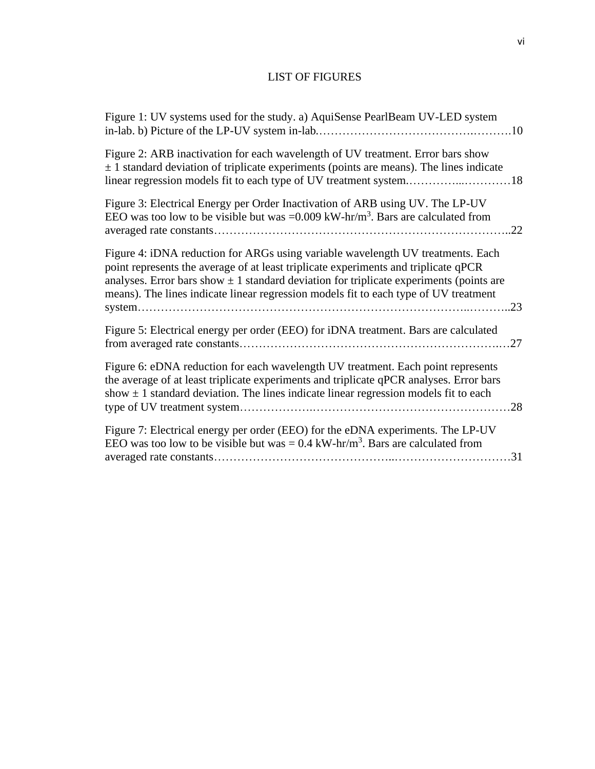# LIST OF FIGURES

| Figure 1: UV systems used for the study. a) AquiSense PearlBeam UV-LED system                                                                                                                                                                                                                                                                                 |
|---------------------------------------------------------------------------------------------------------------------------------------------------------------------------------------------------------------------------------------------------------------------------------------------------------------------------------------------------------------|
| Figure 2: ARB inactivation for each wavelength of UV treatment. Error bars show<br>$\pm$ 1 standard deviation of triplicate experiments (points are means). The lines indicate<br>linear regression models fit to each type of UV treatment system18                                                                                                          |
| Figure 3: Electrical Energy per Order Inactivation of ARB using UV. The LP-UV<br>EEO was too low to be visible but was = $0.009$ kW-hr/m <sup>3</sup> . Bars are calculated from                                                                                                                                                                              |
| Figure 4: iDNA reduction for ARGs using variable wavelength UV treatments. Each<br>point represents the average of at least triplicate experiments and triplicate qPCR<br>analyses. Error bars show $\pm$ 1 standard deviation for triplicate experiments (points are<br>means). The lines indicate linear regression models fit to each type of UV treatment |
| Figure 5: Electrical energy per order (EEO) for iDNA treatment. Bars are calculated                                                                                                                                                                                                                                                                           |
| Figure 6: eDNA reduction for each wavelength UV treatment. Each point represents<br>the average of at least triplicate experiments and triplicate qPCR analyses. Error bars<br>show $\pm$ 1 standard deviation. The lines indicate linear regression models fit to each<br>.28                                                                                |
| Figure 7: Electrical energy per order (EEO) for the eDNA experiments. The LP-UV<br>EEO was too low to be visible but was = $0.4 \text{ kW-hr/m}^3$ . Bars are calculated from                                                                                                                                                                                 |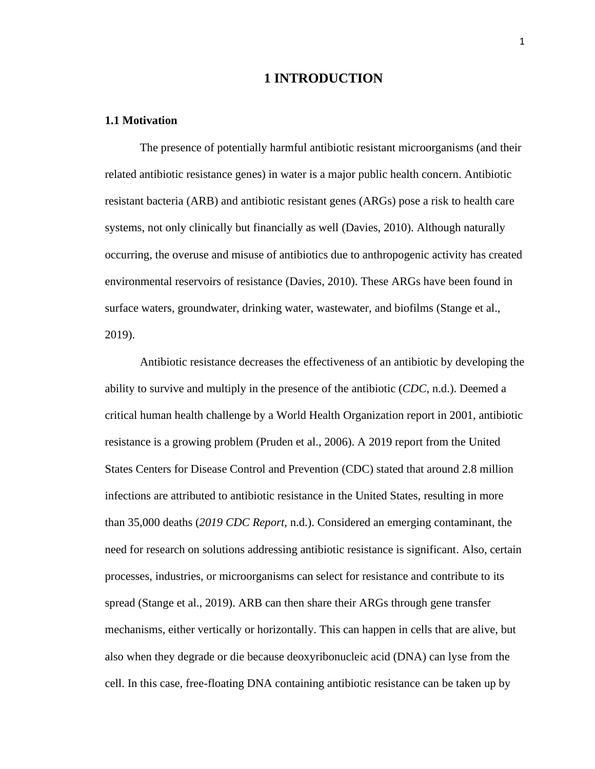# **1 INTRODUCTION**

#### **1.1 Motivation**

The presence of potentially harmful antibiotic resistant microorganisms (and their related antibiotic resistance genes) in water is a major public health concern. Antibiotic resistant bacteria (ARB) and antibiotic resistant genes (ARGs) pose a risk to health care systems, not only clinically but financially as well (Davies, 2010). Although naturally occurring, the overuse and misuse of antibiotics due to anthropogenic activity has created environmental reservoirs of resistance (Davies, 2010). These ARGs have been found in surface waters, groundwater, drinking water, wastewater, and biofilms (Stange et al., 2019).

Antibiotic resistance decreases the effectiveness of an antibiotic by developing the ability to survive and multiply in the presence of the antibiotic (*CDC*, n.d.). Deemed a critical human health challenge by a World Health Organization report in 2001, antibiotic resistance is a growing problem (Pruden et al., 2006). A 2019 report from the United States Centers for Disease Control and Prevention (CDC) stated that around 2.8 million infections are attributed to antibiotic resistance in the United States, resulting in more than 35,000 deaths (*2019 CDC Report*, n.d.). Considered an emerging contaminant, the need for research on solutions addressing antibiotic resistance is significant. Also, certain processes, industries, or microorganisms can select for resistance and contribute to its spread (Stange et al., 2019). ARB can then share their ARGs through gene transfer mechanisms, either vertically or horizontally. This can happen in cells that are alive, but also when they degrade or die because deoxyribonucleic acid (DNA) can lyse from the cell. In this case, free-floating DNA containing antibiotic resistance can be taken up by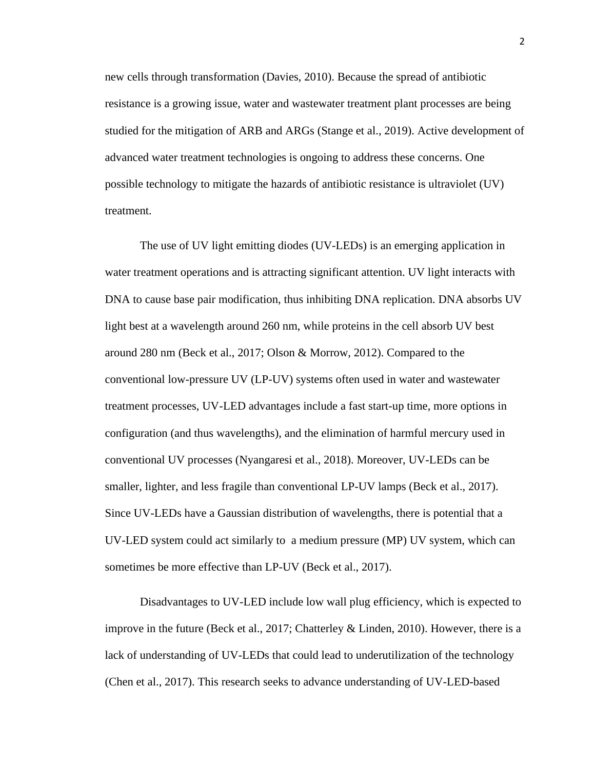new cells through transformation (Davies, 2010). Because the spread of antibiotic resistance is a growing issue, water and wastewater treatment plant processes are being studied for the mitigation of ARB and ARGs (Stange et al., 2019). Active development of advanced water treatment technologies is ongoing to address these concerns. One possible technology to mitigate the hazards of antibiotic resistance is ultraviolet (UV) treatment.

The use of UV light emitting diodes (UV-LEDs) is an emerging application in water treatment operations and is attracting significant attention. UV light interacts with DNA to cause base pair modification, thus inhibiting DNA replication. DNA absorbs UV light best at a wavelength around 260 nm, while proteins in the cell absorb UV best around 280 nm (Beck et al., 2017; Olson & Morrow, 2012). Compared to the conventional low-pressure UV (LP-UV) systems often used in water and wastewater treatment processes, UV-LED advantages include a fast start-up time, more options in configuration (and thus wavelengths), and the elimination of harmful mercury used in conventional UV processes (Nyangaresi et al., 2018). Moreover, UV-LEDs can be smaller, lighter, and less fragile than conventional LP-UV lamps (Beck et al., 2017). Since UV-LEDs have a Gaussian distribution of wavelengths, there is potential that a UV-LED system could act similarly to a medium pressure (MP) UV system, which can sometimes be more effective than LP-UV (Beck et al., 2017).

Disadvantages to UV-LED include low wall plug efficiency, which is expected to improve in the future (Beck et al., 2017; Chatterley & Linden, 2010). However, there is a lack of understanding of UV-LEDs that could lead to underutilization of the technology (Chen et al., 2017). This research seeks to advance understanding of UV-LED-based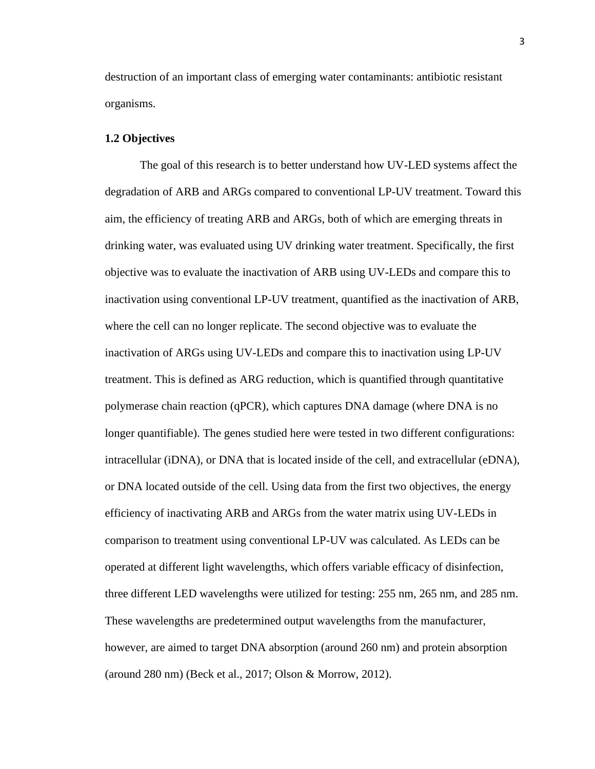destruction of an important class of emerging water contaminants: antibiotic resistant organisms.

#### **1.2 Objectives**

The goal of this research is to better understand how UV-LED systems affect the degradation of ARB and ARGs compared to conventional LP-UV treatment. Toward this aim, the efficiency of treating ARB and ARGs, both of which are emerging threats in drinking water, was evaluated using UV drinking water treatment. Specifically, the first objective was to evaluate the inactivation of ARB using UV-LEDs and compare this to inactivation using conventional LP-UV treatment, quantified as the inactivation of ARB, where the cell can no longer replicate. The second objective was to evaluate the inactivation of ARGs using UV-LEDs and compare this to inactivation using LP-UV treatment. This is defined as ARG reduction, which is quantified through quantitative polymerase chain reaction (qPCR), which captures DNA damage (where DNA is no longer quantifiable). The genes studied here were tested in two different configurations: intracellular (iDNA), or DNA that is located inside of the cell, and extracellular (eDNA), or DNA located outside of the cell. Using data from the first two objectives, the energy efficiency of inactivating ARB and ARGs from the water matrix using UV-LEDs in comparison to treatment using conventional LP-UV was calculated. As LEDs can be operated at different light wavelengths, which offers variable efficacy of disinfection, three different LED wavelengths were utilized for testing: 255 nm, 265 nm, and 285 nm. These wavelengths are predetermined output wavelengths from the manufacturer, however, are aimed to target DNA absorption (around 260 nm) and protein absorption (around 280 nm) (Beck et al., 2017; Olson & Morrow, 2012).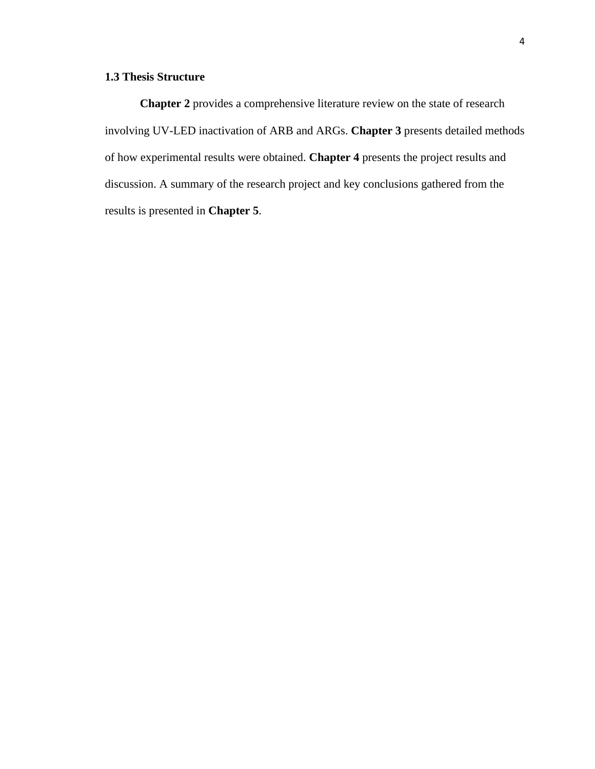# **1.3 Thesis Structure**

**Chapter 2** provides a comprehensive literature review on the state of research involving UV-LED inactivation of ARB and ARGs. **Chapter 3** presents detailed methods of how experimental results were obtained. **Chapter 4** presents the project results and discussion. A summary of the research project and key conclusions gathered from the results is presented in **Chapter 5**.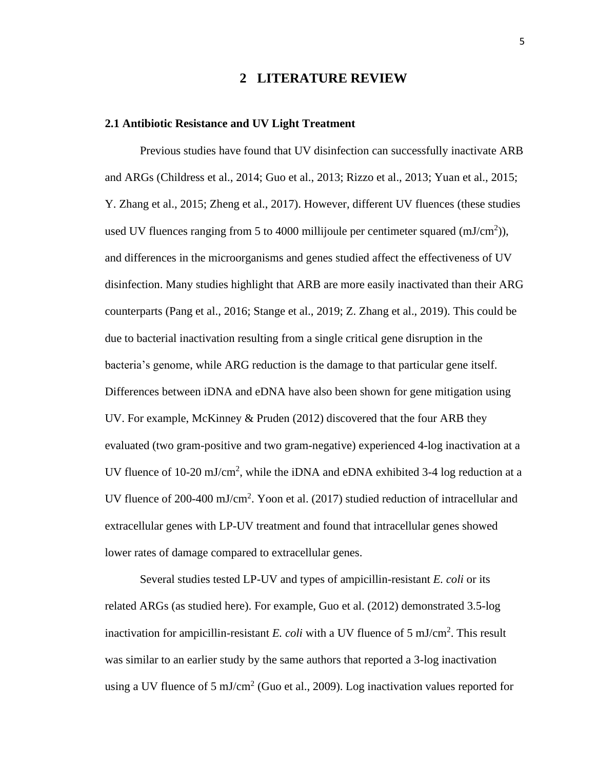# **2 LITERATURE REVIEW**

#### **2.1 Antibiotic Resistance and UV Light Treatment**

Previous studies have found that UV disinfection can successfully inactivate ARB and ARGs (Childress et al., 2014; Guo et al., 2013; Rizzo et al., 2013; Yuan et al., 2015; Y. Zhang et al., 2015; Zheng et al., 2017). However, different UV fluences (these studies used UV fluences ranging from 5 to 4000 millijoule per centimeter squared  $(mJ/cm<sup>2</sup>)$ ), and differences in the microorganisms and genes studied affect the effectiveness of UV disinfection. Many studies highlight that ARB are more easily inactivated than their ARG counterparts (Pang et al., 2016; Stange et al., 2019; Z. Zhang et al., 2019). This could be due to bacterial inactivation resulting from a single critical gene disruption in the bacteria's genome, while ARG reduction is the damage to that particular gene itself. Differences between iDNA and eDNA have also been shown for gene mitigation using UV. For example, McKinney & Pruden (2012) discovered that the four ARB they evaluated (two gram-positive and two gram-negative) experienced 4-log inactivation at a UV fluence of 10-20 mJ/cm<sup>2</sup>, while the iDNA and eDNA exhibited 3-4 log reduction at a UV fluence of 200-400 mJ/cm<sup>2</sup>. Yoon et al. (2017) studied reduction of intracellular and extracellular genes with LP-UV treatment and found that intracellular genes showed lower rates of damage compared to extracellular genes.

Several studies tested LP-UV and types of ampicillin-resistant *E. coli* or its related ARGs (as studied here). For example, Guo et al. (2012) demonstrated 3.5-log inactivation for ampicillin-resistant *E. coli* with a UV fluence of 5 mJ/cm<sup>2</sup> . This result was similar to an earlier study by the same authors that reported a 3-log inactivation using a UV fluence of 5 mJ/cm<sup>2</sup> (Guo et al., 2009). Log inactivation values reported for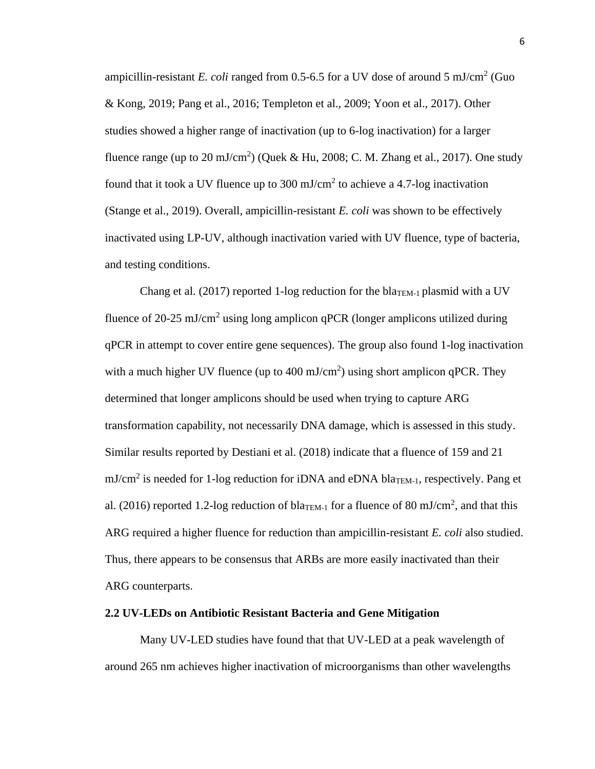ampicillin-resistant *E. coli* ranged from  $0.5$ -6.5 for a UV dose of around 5 mJ/cm<sup>2</sup> (Guo & Kong, 2019; Pang et al., 2016; Templeton et al., 2009; Yoon et al., 2017). Other studies showed a higher range of inactivation (up to 6-log inactivation) for a larger fluence range (up to 20 mJ/cm<sup>2</sup>) (Quek & Hu, 2008; C. M. Zhang et al., 2017). One study found that it took a UV fluence up to 300 mJ/cm<sup>2</sup> to achieve a 4.7-log inactivation (Stange et al., 2019). Overall, ampicillin-resistant *E. coli* was shown to be effectively inactivated using LP-UV, although inactivation varied with UV fluence, type of bacteria, and testing conditions.

Chang et al. (2017) reported 1-log reduction for the bla<sub>TEM-1</sub> plasmid with a UV fluence of 20-25 mJ/cm<sup>2</sup> using long amplicon qPCR (longer amplicons utilized during qPCR in attempt to cover entire gene sequences). The group also found 1-log inactivation with a much higher UV fluence (up to  $400 \text{ mJ/cm}^2$ ) using short amplicon qPCR. They determined that longer amplicons should be used when trying to capture ARG transformation capability, not necessarily DNA damage, which is assessed in this study. Similar results reported by Destiani et al. (2018) indicate that a fluence of 159 and 21  $mJ/cm<sup>2</sup>$  is needed for 1-log reduction for iDNA and eDNA bla<sub>TEM-1</sub>, respectively. Pang et al. (2016) reported 1.2-log reduction of bla<sub>TEM-1</sub> for a fluence of 80 mJ/cm<sup>2</sup>, and that this ARG required a higher fluence for reduction than ampicillin-resistant *E. coli* also studied. Thus, there appears to be consensus that ARBs are more easily inactivated than their ARG counterparts.

#### **2.2 UV-LEDs on Antibiotic Resistant Bacteria and Gene Mitigation**

Many UV-LED studies have found that that UV-LED at a peak wavelength of around 265 nm achieves higher inactivation of microorganisms than other wavelengths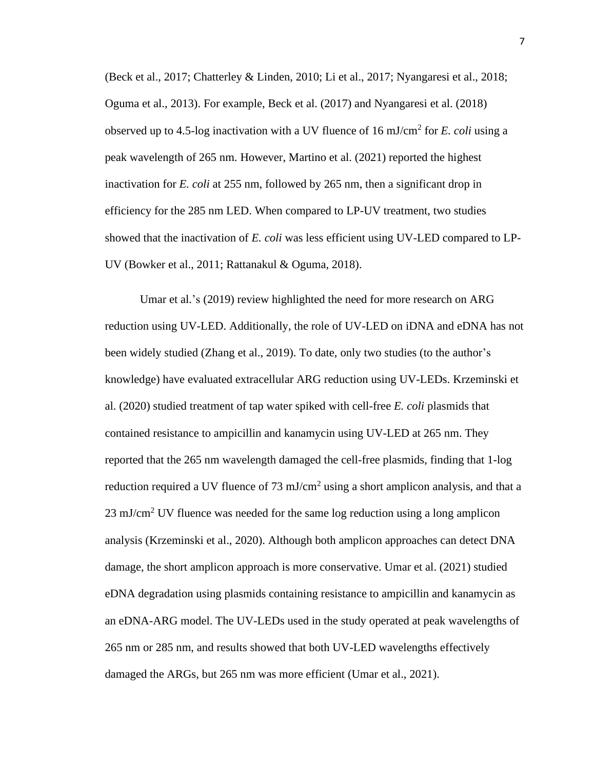(Beck et al., 2017; Chatterley & Linden, 2010; Li et al., 2017; Nyangaresi et al., 2018; Oguma et al., 2013). For example, Beck et al. (2017) and Nyangaresi et al. (2018) observed up to 4.5-log inactivation with a UV fluence of 16 mJ/cm<sup>2</sup> for *E. coli* using a peak wavelength of 265 nm. However, Martino et al. (2021) reported the highest inactivation for *E. coli* at 255 nm, followed by 265 nm, then a significant drop in efficiency for the 285 nm LED. When compared to LP-UV treatment, two studies showed that the inactivation of *E. coli* was less efficient using UV-LED compared to LP-UV (Bowker et al., 2011; Rattanakul & Oguma, 2018).

Umar et al.'s (2019) review highlighted the need for more research on ARG reduction using UV-LED. Additionally, the role of UV-LED on iDNA and eDNA has not been widely studied (Zhang et al., 2019). To date, only two studies (to the author's knowledge) have evaluated extracellular ARG reduction using UV-LEDs. Krzeminski et al. (2020) studied treatment of tap water spiked with cell-free *E. coli* plasmids that contained resistance to ampicillin and kanamycin using UV-LED at 265 nm. They reported that the 265 nm wavelength damaged the cell-free plasmids, finding that 1-log reduction required a UV fluence of 73 mJ/cm<sup>2</sup> using a short amplicon analysis, and that a 23 mJ/cm<sup>2</sup> UV fluence was needed for the same log reduction using a long amplicon analysis (Krzeminski et al., 2020). Although both amplicon approaches can detect DNA damage, the short amplicon approach is more conservative. Umar et al. (2021) studied eDNA degradation using plasmids containing resistance to ampicillin and kanamycin as an eDNA-ARG model. The UV-LEDs used in the study operated at peak wavelengths of 265 nm or 285 nm, and results showed that both UV-LED wavelengths effectively damaged the ARGs, but 265 nm was more efficient (Umar et al., 2021).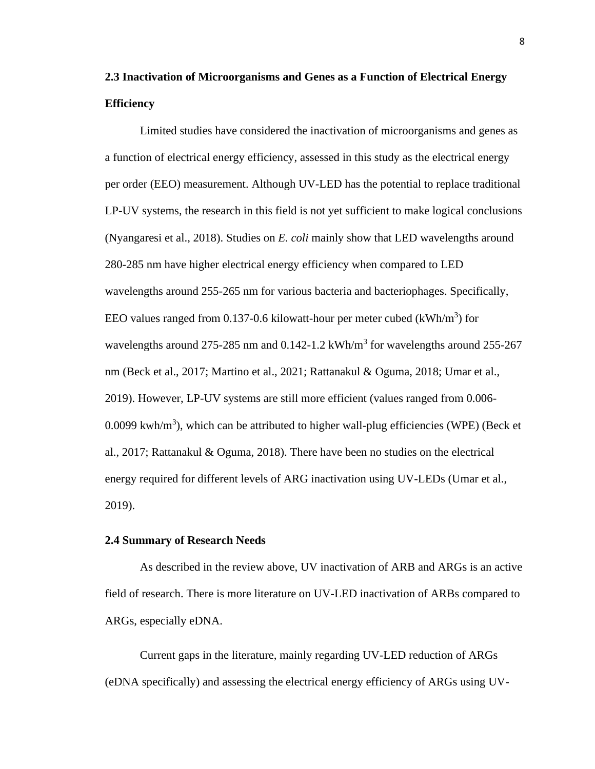# **2.3 Inactivation of Microorganisms and Genes as a Function of Electrical Energy Efficiency**

Limited studies have considered the inactivation of microorganisms and genes as a function of electrical energy efficiency, assessed in this study as the electrical energy per order (EEO) measurement. Although UV-LED has the potential to replace traditional LP-UV systems, the research in this field is not yet sufficient to make logical conclusions (Nyangaresi et al., 2018). Studies on *E. coli* mainly show that LED wavelengths around 280-285 nm have higher electrical energy efficiency when compared to LED wavelengths around 255-265 nm for various bacteria and bacteriophages. Specifically, EEO values ranged from 0.137-0.6 kilowatt-hour per meter cubed  $(kWh/m<sup>3</sup>)$  for wavelengths around 275-285 nm and  $0.142$ -1.2 kWh/m<sup>3</sup> for wavelengths around 255-267 nm (Beck et al., 2017; Martino et al., 2021; Rattanakul & Oguma, 2018; Umar et al., 2019). However, LP-UV systems are still more efficient (values ranged from 0.006- 0.0099 kwh/ $m<sup>3</sup>$ ), which can be attributed to higher wall-plug efficiencies (WPE) (Beck et al., 2017; Rattanakul & Oguma, 2018). There have been no studies on the electrical energy required for different levels of ARG inactivation using UV-LEDs (Umar et al., 2019).

#### **2.4 Summary of Research Needs**

As described in the review above, UV inactivation of ARB and ARGs is an active field of research. There is more literature on UV-LED inactivation of ARBs compared to ARGs, especially eDNA.

Current gaps in the literature, mainly regarding UV-LED reduction of ARGs (eDNA specifically) and assessing the electrical energy efficiency of ARGs using UV-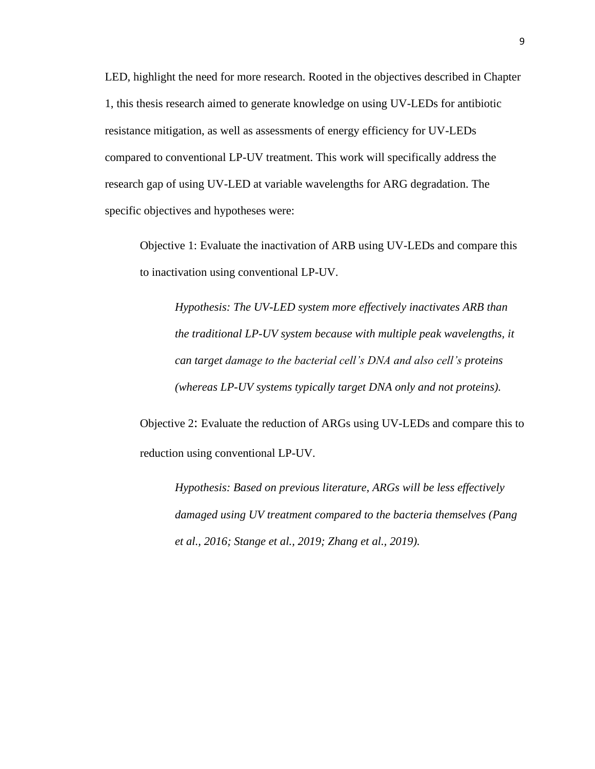LED, highlight the need for more research. Rooted in the objectives described in Chapter 1, this thesis research aimed to generate knowledge on using UV-LEDs for antibiotic resistance mitigation, as well as assessments of energy efficiency for UV-LEDs compared to conventional LP-UV treatment. This work will specifically address the research gap of using UV-LED at variable wavelengths for ARG degradation. The specific objectives and hypotheses were:

Objective 1: Evaluate the inactivation of ARB using UV-LEDs and compare this to inactivation using conventional LP-UV.

*Hypothesis: The UV-LED system more effectively inactivates ARB than the traditional LP-UV system because with multiple peak wavelengths, it can target damage to the bacterial cell's DNA and also cell's proteins (whereas LP-UV systems typically target DNA only and not proteins).*

Objective 2: Evaluate the reduction of ARGs using UV-LEDs and compare this to reduction using conventional LP-UV.

*Hypothesis: Based on previous literature, ARGs will be less effectively damaged using UV treatment compared to the bacteria themselves (Pang et al., 2016; Stange et al., 2019; Zhang et al., 2019).*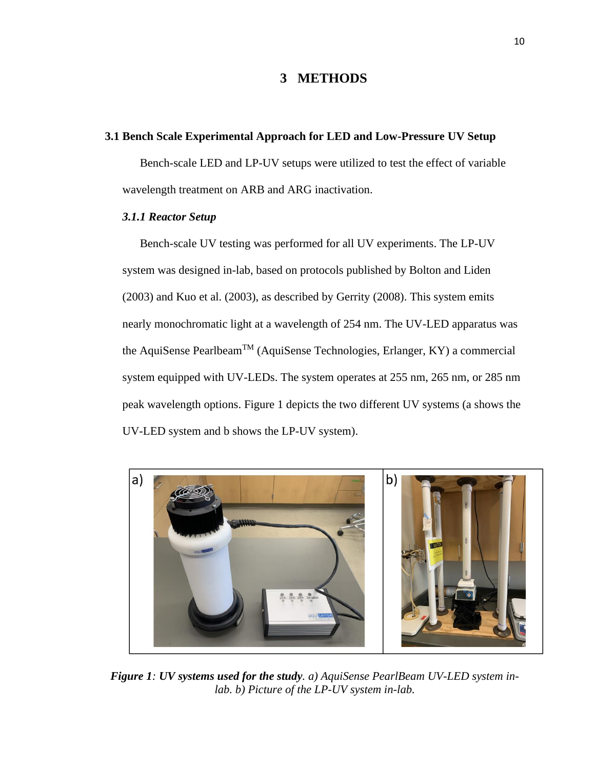# **3 METHODS**

#### **3.1 Bench Scale Experimental Approach for LED and Low-Pressure UV Setup**

Bench-scale LED and LP-UV setups were utilized to test the effect of variable wavelength treatment on ARB and ARG inactivation.

#### *3.1.1 Reactor Setup*

Bench-scale UV testing was performed for all UV experiments. The LP-UV system was designed in-lab, based on protocols published by Bolton and Liden (2003) and Kuo et al. (2003), as described by Gerrity (2008). This system emits nearly monochromatic light at a wavelength of 254 nm. The UV-LED apparatus was the AquiSense Pearlbeam<sup>TM</sup> (AquiSense Technologies, Erlanger, KY) a commercial system equipped with UV-LEDs. The system operates at 255 nm, 265 nm, or 285 nm peak wavelength options. Figure 1 depicts the two different UV systems (a shows the UV-LED system and b shows the LP-UV system).



*Figure 1: UV systems used for the study. a) AquiSense PearlBeam UV-LED system inlab. b) Picture of the LP-UV system in-lab.*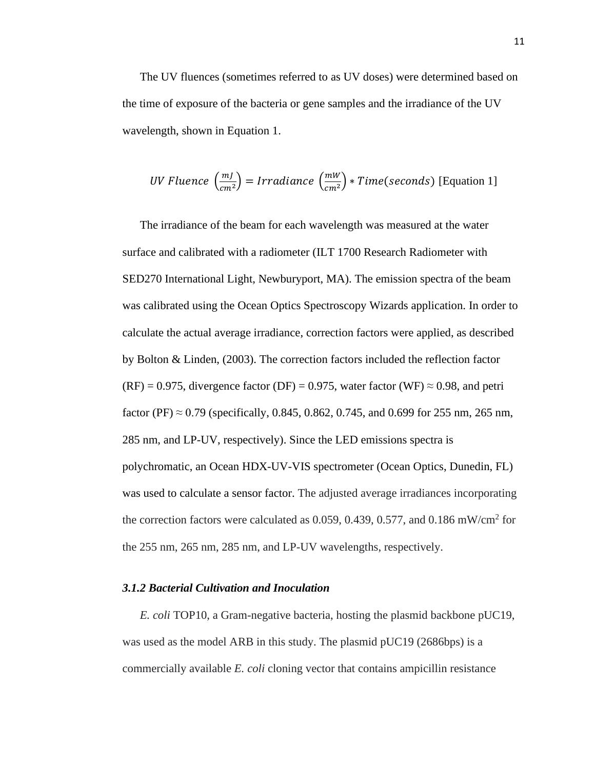The UV fluences (sometimes referred to as UV doses) were determined based on the time of exposure of the bacteria or gene samples and the irradiance of the UV wavelength, shown in Equation 1.

*UV Fluence* 
$$
\left(\frac{mJ}{cm^2}\right)
$$
 = *Irradiance*  $\left(\frac{mW}{cm^2}\right)$  \* *Time* (*seconds*) [Equation 1]

The irradiance of the beam for each wavelength was measured at the water surface and calibrated with a radiometer (ILT 1700 Research Radiometer with SED270 International Light, Newburyport, MA). The emission spectra of the beam was calibrated using the Ocean Optics Spectroscopy Wizards application. In order to calculate the actual average irradiance, correction factors were applied, as described by Bolton & Linden, (2003). The correction factors included the reflection factor  $(RF) = 0.975$ , divergence factor (DF) = 0.975, water factor (WF)  $\approx$  0.98, and petri factor (PF)  $\approx$  0.79 (specifically, 0.845, 0.862, 0.745, and 0.699 for 255 nm, 265 nm, 285 nm, and LP-UV, respectively). Since the LED emissions spectra is polychromatic, an Ocean HDX-UV-VIS spectrometer (Ocean Optics, Dunedin, FL) was used to calculate a sensor factor. The adjusted average irradiances incorporating the correction factors were calculated as  $0.059, 0.439, 0.577,$  and  $0.186$  mW/cm<sup>2</sup> for the 255 nm, 265 nm, 285 nm, and LP-UV wavelengths, respectively.

#### *3.1.2 Bacterial Cultivation and Inoculation*

*E. coli* TOP10, a Gram-negative bacteria, hosting the plasmid backbone pUC19, was used as the model ARB in this study. The plasmid pUC19 (2686bps) is a commercially available *E. coli* cloning vector that contains ampicillin resistance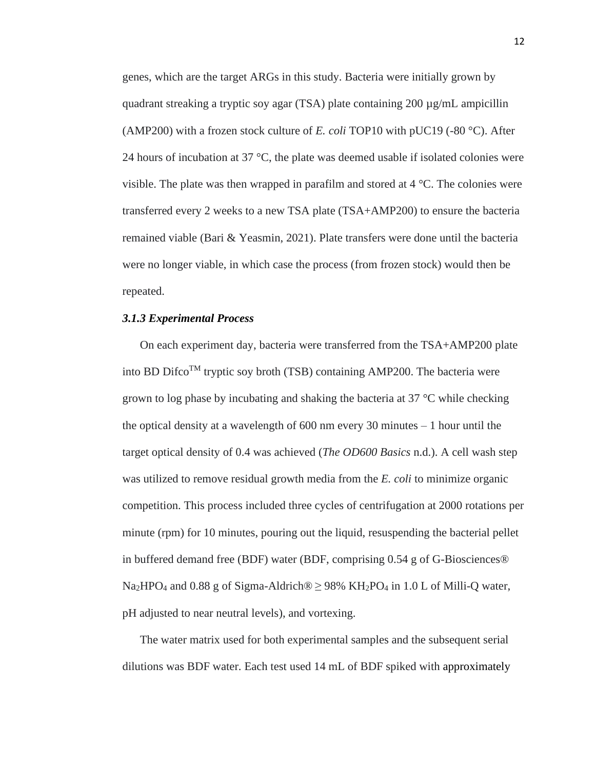genes, which are the target ARGs in this study. Bacteria were initially grown by quadrant streaking a tryptic soy agar (TSA) plate containing  $200 \mu g/mL$  ampicillin (AMP200) with a frozen stock culture of *E. coli* TOP10 with pUC19 (-80 °C). After 24 hours of incubation at 37  $\degree$ C, the plate was deemed usable if isolated colonies were visible. The plate was then wrapped in parafilm and stored at  $4 \degree C$ . The colonies were transferred every 2 weeks to a new TSA plate (TSA+AMP200) to ensure the bacteria remained viable (Bari & Yeasmin, 2021). Plate transfers were done until the bacteria were no longer viable, in which case the process (from frozen stock) would then be repeated.

#### *3.1.3 Experimental Process*

On each experiment day, bacteria were transferred from the TSA+AMP200 plate into BD Difco<sup>TM</sup> tryptic soy broth (TSB) containing AMP200. The bacteria were grown to log phase by incubating and shaking the bacteria at 37 °C while checking the optical density at a wavelength of 600 nm every 30 minutes – 1 hour until the target optical density of 0.4 was achieved (*The OD600 Basics* n.d.). A cell wash step was utilized to remove residual growth media from the *E. coli* to minimize organic competition. This process included three cycles of centrifugation at 2000 rotations per minute (rpm) for 10 minutes, pouring out the liquid, resuspending the bacterial pellet in buffered demand free (BDF) water (BDF, comprising 0.54 g of G-Biosciences® Na<sub>2</sub>HPO<sub>4</sub> and 0.88 g of Sigma-Aldrich<sup>®</sup>  $\geq$  98% KH<sub>2</sub>PO<sub>4</sub> in 1.0 L of Milli-Q water, pH adjusted to near neutral levels), and vortexing.

The water matrix used for both experimental samples and the subsequent serial dilutions was BDF water. Each test used 14 mL of BDF spiked with approximately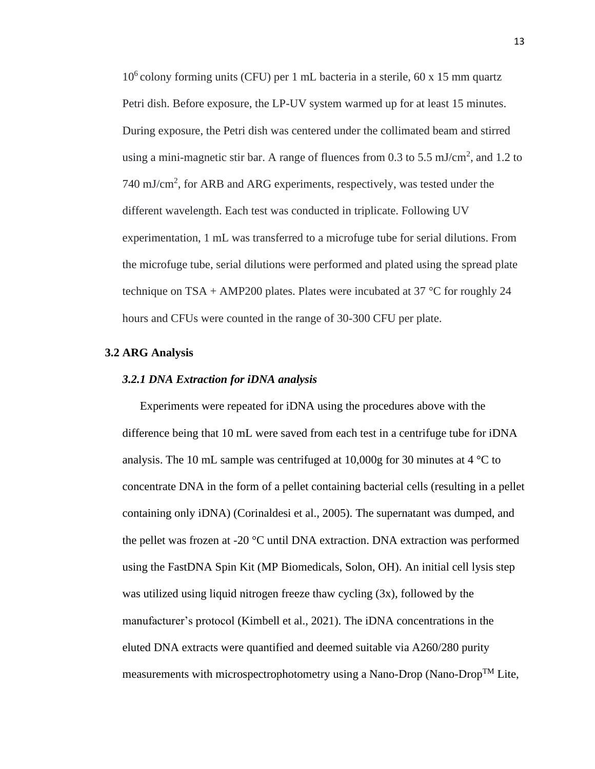$10<sup>6</sup>$  colony forming units (CFU) per 1 mL bacteria in a sterile, 60 x 15 mm quartz Petri dish. Before exposure, the LP-UV system warmed up for at least 15 minutes. During exposure, the Petri dish was centered under the collimated beam and stirred using a mini-magnetic stir bar. A range of fluences from 0.3 to 5.5 mJ/cm<sup>2</sup>, and 1.2 to 740 mJ/cm<sup>2</sup>, for ARB and ARG experiments, respectively, was tested under the different wavelength. Each test was conducted in triplicate. Following UV experimentation, 1 mL was transferred to a microfuge tube for serial dilutions. From the microfuge tube, serial dilutions were performed and plated using the spread plate technique on TSA + AMP200 plates. Plates were incubated at 37  $\degree$ C for roughly 24 hours and CFUs were counted in the range of 30-300 CFU per plate.

#### **3.2 ARG Analysis**

#### *3.2.1 DNA Extraction for iDNA analysis*

Experiments were repeated for iDNA using the procedures above with the difference being that 10 mL were saved from each test in a centrifuge tube for iDNA analysis. The 10 mL sample was centrifuged at 10,000g for 30 minutes at 4  $^{\circ}$ C to concentrate DNA in the form of a pellet containing bacterial cells (resulting in a pellet containing only iDNA) (Corinaldesi et al., 2005). The supernatant was dumped, and the pellet was frozen at -20 °C until DNA extraction. DNA extraction was performed using the FastDNA Spin Kit (MP Biomedicals, Solon, OH). An initial cell lysis step was utilized using liquid nitrogen freeze thaw cycling (3x), followed by the manufacturer's protocol (Kimbell et al., 2021). The iDNA concentrations in the eluted DNA extracts were quantified and deemed suitable via A260/280 purity measurements with microspectrophotometry using a Nano-Drop (Nano-Drop<sup>TM</sup> Lite,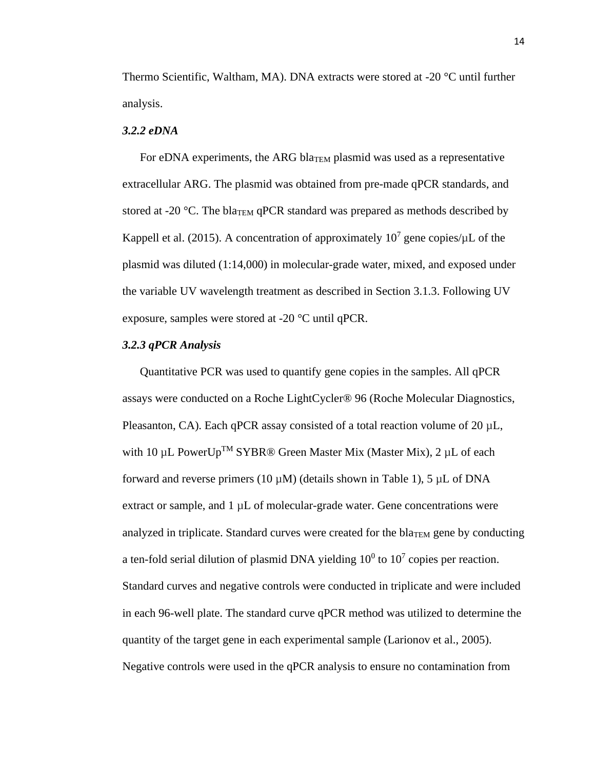Thermo Scientific, Waltham, MA). DNA extracts were stored at -20 °C until further analysis.

#### *3.2.2 eDNA*

For eDNA experiments, the ARG bla $_{\text{TEM}}$  plasmid was used as a representative extracellular ARG. The plasmid was obtained from pre-made qPCR standards, and stored at -20 °C. The bla<sub>TEM</sub> qPCR standard was prepared as methods described by Kappell et al. (2015). A concentration of approximately 10<sup>7</sup> gene copies/ $\mu$ L of the plasmid was diluted (1:14,000) in molecular-grade water, mixed, and exposed under the variable UV wavelength treatment as described in Section 3.1.3. Following UV exposure, samples were stored at -20 °C until qPCR.

#### *3.2.3 qPCR Analysis*

Quantitative PCR was used to quantify gene copies in the samples. All qPCR assays were conducted on a Roche LightCycler® 96 (Roche Molecular Diagnostics, Pleasanton, CA). Each qPCR assay consisted of a total reaction volume of 20  $\mu$ L, with 10  $\mu$ L PowerUp<sup>TM</sup> SYBR® Green Master Mix (Master Mix), 2  $\mu$ L of each forward and reverse primers (10  $\mu$ M) (details shown in Table 1), 5  $\mu$ L of DNA extract or sample, and 1 µL of molecular-grade water. Gene concentrations were analyzed in triplicate. Standard curves were created for the bla<sub>TEM</sub> gene by conducting a ten-fold serial dilution of plasmid DNA yielding  $10^0$  to  $10^7$  copies per reaction. Standard curves and negative controls were conducted in triplicate and were included in each 96-well plate. The standard curve qPCR method was utilized to determine the quantity of the target gene in each experimental sample (Larionov et al., 2005). Negative controls were used in the qPCR analysis to ensure no contamination from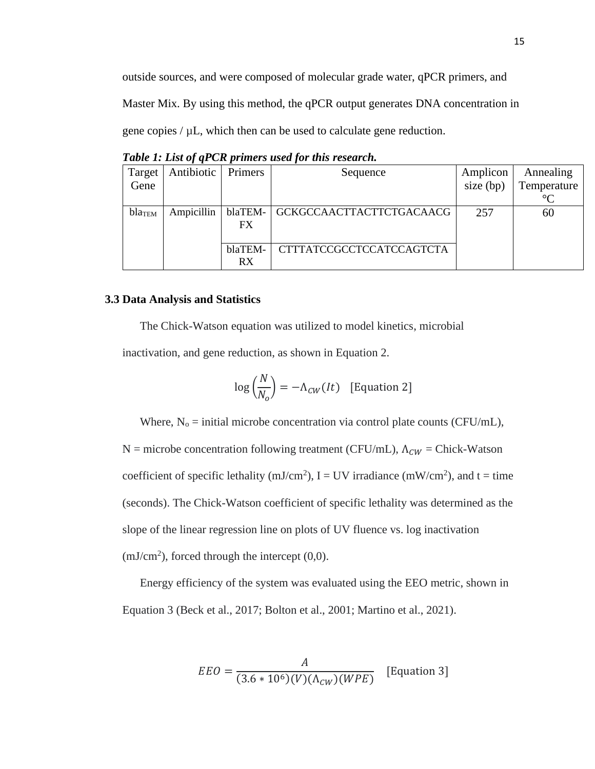outside sources, and were composed of molecular grade water, qPCR primers, and

Master Mix. By using this method, the qPCR output generates DNA concentration in

gene copies  $/\mu L$ , which then can be used to calculate gene reduction.

| Target | Antibiotic | Primers | Sequence                        | Amplicon    | Annealing   |
|--------|------------|---------|---------------------------------|-------------|-------------|
| Gene   |            |         |                                 | size $(bp)$ | Temperature |
|        |            |         |                                 |             | $\circ$     |
| blaTEM | Ampicillin | blaTEM- | <b>GCKGCCAACTTACTTCTGACAACG</b> | 257         | 60          |
|        |            | FX      |                                 |             |             |
|        |            |         |                                 |             |             |
|        |            | blaTEM- | <b>CTTTATCCGCCTCCATCCAGTCTA</b> |             |             |
|        |            | RX      |                                 |             |             |

*Table 1: List of qPCR primers used for this research.*

#### **3.3 Data Analysis and Statistics**

The Chick-Watson equation was utilized to model kinetics, microbial

inactivation, and gene reduction, as shown in Equation 2.

$$
\log\left(\frac{N}{N_o}\right) = -\Lambda_{CW}(It) \quad \text{[Equation 2]}
$$

Where,  $N_0$  = initial microbe concentration via control plate counts (CFU/mL),

N = microbe concentration following treatment (CFU/mL),  $\Lambda_{CW}$  = Chick-Watson coefficient of specific lethality (mJ/cm<sup>2</sup>),  $I = UV$  irradiance (mW/cm<sup>2</sup>), and  $t = time$ (seconds). The Chick-Watson coefficient of specific lethality was determined as the slope of the linear regression line on plots of UV fluence vs. log inactivation  $(mJ/cm<sup>2</sup>)$ , forced through the intercept  $(0,0)$ .

Energy efficiency of the system was evaluated using the EEO metric, shown in Equation 3 (Beck et al., 2017; Bolton et al., 2001; Martino et al., 2021).

$$
EEO = \frac{A}{(3.6 * 106)(V)(\Lambda_{CW})(WPE)}
$$
 [Equation 3]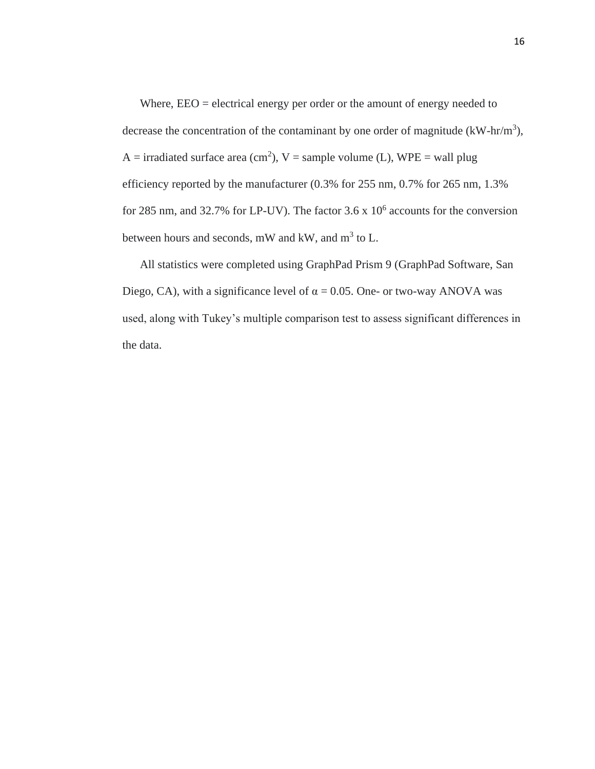Where,  $EEO =$  electrical energy per order or the amount of energy needed to decrease the concentration of the contaminant by one order of magnitude  $(kW-hr/m<sup>3</sup>)$ , A = irradiated surface area (cm<sup>2</sup>), V = sample volume (L), WPE = wall plug efficiency reported by the manufacturer (0.3% for 255 nm, 0.7% for 265 nm, 1.3% for 285 nm, and 32.7% for LP-UV). The factor  $3.6 \times 10^6$  accounts for the conversion between hours and seconds, mW and kW, and  $m^3$  to L.

All statistics were completed using GraphPad Prism 9 (GraphPad Software, San Diego, CA), with a significance level of  $\alpha = 0.05$ . One- or two-way ANOVA was used, along with Tukey's multiple comparison test to assess significant differences in the data.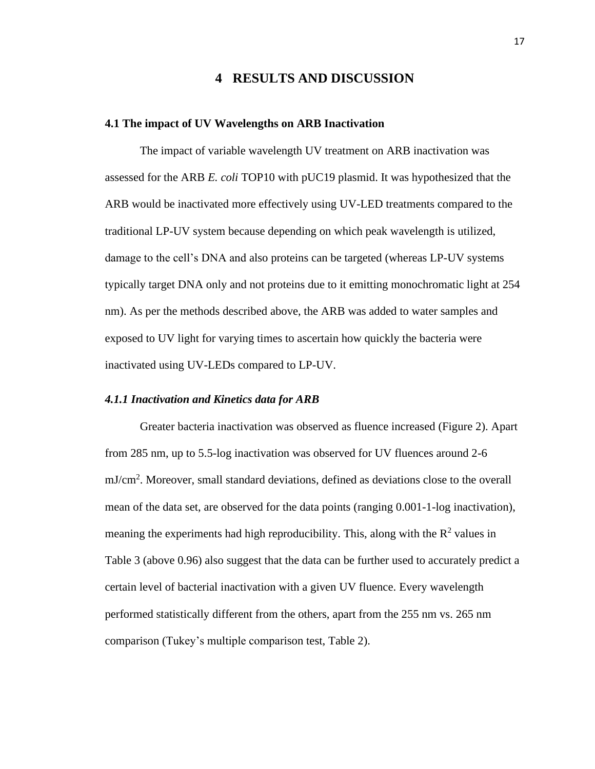# **4 RESULTS AND DISCUSSION**

#### **4.1 The impact of UV Wavelengths on ARB Inactivation**

The impact of variable wavelength UV treatment on ARB inactivation was assessed for the ARB *E. coli* TOP10 with pUC19 plasmid. It was hypothesized that the ARB would be inactivated more effectively using UV-LED treatments compared to the traditional LP-UV system because depending on which peak wavelength is utilized, damage to the cell's DNA and also proteins can be targeted (whereas LP-UV systems typically target DNA only and not proteins due to it emitting monochromatic light at 254 nm). As per the methods described above, the ARB was added to water samples and exposed to UV light for varying times to ascertain how quickly the bacteria were inactivated using UV-LEDs compared to LP-UV.

#### *4.1.1 Inactivation and Kinetics data for ARB*

Greater bacteria inactivation was observed as fluence increased (Figure 2). Apart from 285 nm, up to 5.5-log inactivation was observed for UV fluences around 2-6 mJ/cm<sup>2</sup> . Moreover, small standard deviations, defined as deviations close to the overall mean of the data set, are observed for the data points (ranging 0.001-1-log inactivation), meaning the experiments had high reproducibility. This, along with the  $\mathbb{R}^2$  values in Table 3 (above 0.96) also suggest that the data can be further used to accurately predict a certain level of bacterial inactivation with a given UV fluence. Every wavelength performed statistically different from the others, apart from the 255 nm vs. 265 nm comparison (Tukey's multiple comparison test, Table 2).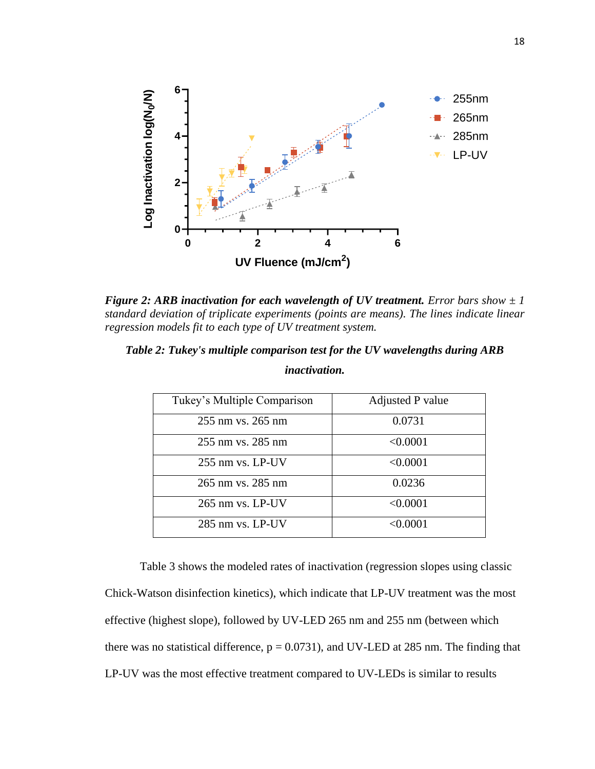

*Figure 2: ARB inactivation for each wavelength of UV treatment. Error bars show*  $\pm 1$ *standard deviation of triplicate experiments (points are means). The lines indicate linear regression models fit to each type of UV treatment system.* 

| Tukey's Multiple Comparison | Adjusted P value |
|-----------------------------|------------------|
| 255 nm vs. 265 nm           | 0.0731           |
| 255 nm vs. 285 nm           | < 0.0001         |
| $255$ nm vs. LP-UV          | < 0.0001         |
| 265 nm vs. 285 nm           | 0.0236           |
| $265$ nm vs. LP-UV          | < 0.0001         |
| 285 nm vs. LP-UV            | < 0.0001         |

*Table 2: Tukey's multiple comparison test for the UV wavelengths during ARB* 

Table 3 shows the modeled rates of inactivation (regression slopes using classic Chick-Watson disinfection kinetics), which indicate that LP-UV treatment was the most effective (highest slope), followed by UV-LED 265 nm and 255 nm (between which there was no statistical difference,  $p = 0.0731$ ), and UV-LED at 285 nm. The finding that LP-UV was the most effective treatment compared to UV-LEDs is similar to results

#### *inactivation.*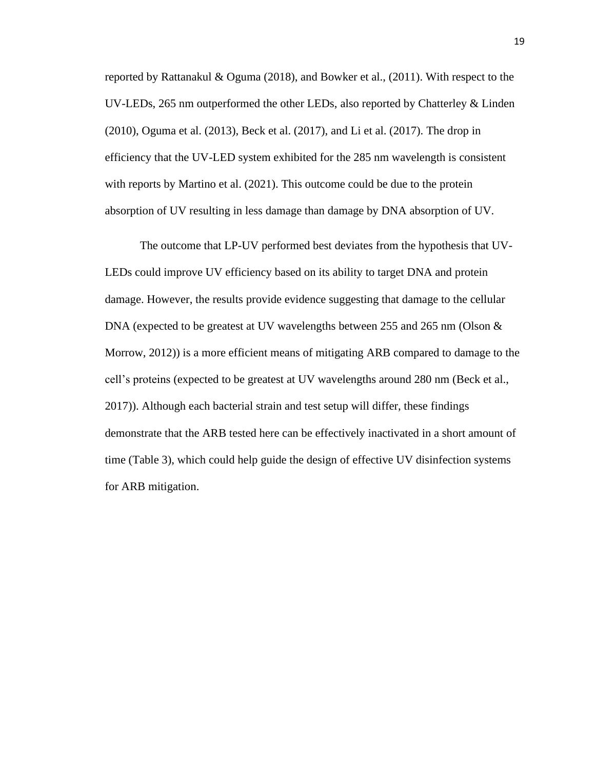reported by Rattanakul & Oguma (2018), and Bowker et al., (2011). With respect to the UV-LEDs, 265 nm outperformed the other LEDs, also reported by Chatterley & Linden (2010), Oguma et al. (2013), Beck et al. (2017), and Li et al. (2017). The drop in efficiency that the UV-LED system exhibited for the 285 nm wavelength is consistent with reports by Martino et al. (2021). This outcome could be due to the protein absorption of UV resulting in less damage than damage by DNA absorption of UV.

The outcome that LP-UV performed best deviates from the hypothesis that UV-LEDs could improve UV efficiency based on its ability to target DNA and protein damage. However, the results provide evidence suggesting that damage to the cellular DNA (expected to be greatest at UV wavelengths between 255 and 265 nm (Olson & Morrow, 2012)) is a more efficient means of mitigating ARB compared to damage to the cell's proteins (expected to be greatest at UV wavelengths around 280 nm (Beck et al., 2017)). Although each bacterial strain and test setup will differ, these findings demonstrate that the ARB tested here can be effectively inactivated in a short amount of time (Table 3), which could help guide the design of effective UV disinfection systems for ARB mitigation.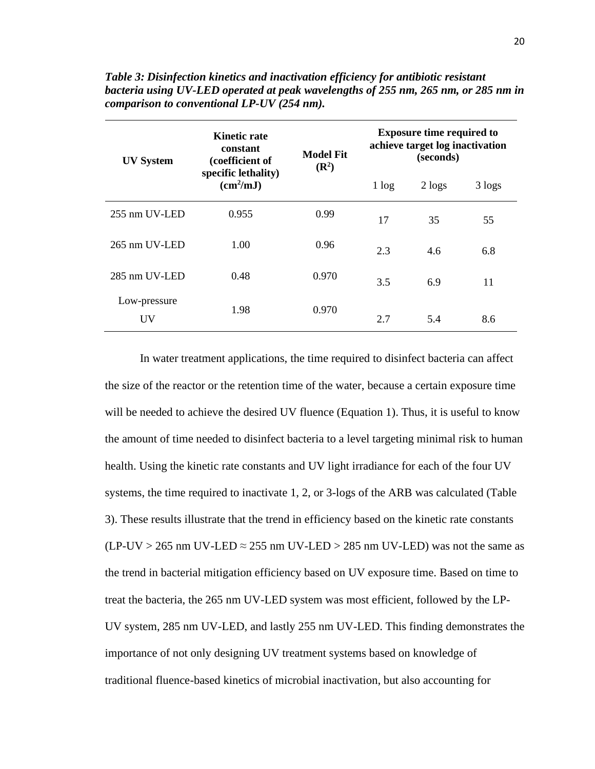| <b>UV System</b>   | <b>Kinetic rate</b><br>constant<br>(coefficient of | <b>Model Fit</b><br>$(\mathbb{R}^2)$ | <b>Exposure time required to</b><br>achieve target log inactivation<br>(seconds) |            |        |
|--------------------|----------------------------------------------------|--------------------------------------|----------------------------------------------------------------------------------|------------|--------|
|                    | specific lethality)<br>(cm <sup>2</sup> /mJ)       |                                      | 1 log                                                                            | $2 \log s$ | 3 logs |
| 255 nm UV-LED      | 0.955                                              | 0.99                                 | 17                                                                               | 35         | 55     |
| 265 nm UV-LED      | 1.00                                               | 0.96                                 | 2.3                                                                              | 4.6        | 6.8    |
| 285 nm UV-LED      | 0.48                                               | 0.970                                | 3.5                                                                              | 6.9        | 11     |
| Low-pressure<br>UV | 1.98                                               | 0.970                                | 2.7                                                                              | 5.4        | 8.6    |

*Table 3: Disinfection kinetics and inactivation efficiency for antibiotic resistant bacteria using UV-LED operated at peak wavelengths of 255 nm, 265 nm, or 285 nm in comparison to conventional LP-UV (254 nm).*

In water treatment applications, the time required to disinfect bacteria can affect the size of the reactor or the retention time of the water, because a certain exposure time will be needed to achieve the desired UV fluence (Equation 1). Thus, it is useful to know the amount of time needed to disinfect bacteria to a level targeting minimal risk to human health. Using the kinetic rate constants and UV light irradiance for each of the four UV systems, the time required to inactivate 1, 2, or 3-logs of the ARB was calculated (Table 3). These results illustrate that the trend in efficiency based on the kinetic rate constants  $(LP-UV > 265$  nm UV-LED  $\approx$  255 nm UV-LED  $>$  285 nm UV-LED) was not the same as the trend in bacterial mitigation efficiency based on UV exposure time. Based on time to treat the bacteria, the 265 nm UV-LED system was most efficient, followed by the LP-UV system, 285 nm UV-LED, and lastly 255 nm UV-LED. This finding demonstrates the importance of not only designing UV treatment systems based on knowledge of traditional fluence-based kinetics of microbial inactivation, but also accounting for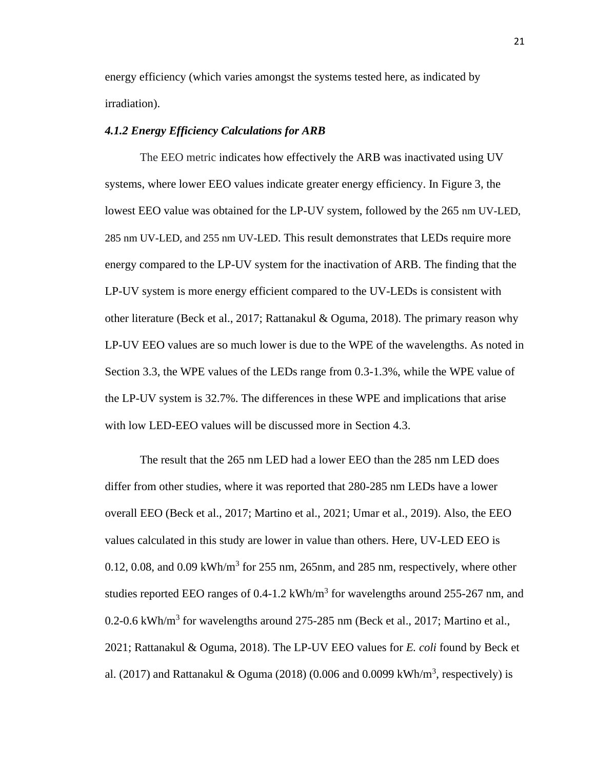energy efficiency (which varies amongst the systems tested here, as indicated by irradiation).

#### *4.1.2 Energy Efficiency Calculations for ARB*

The EEO metric indicates how effectively the ARB was inactivated using UV systems, where lower EEO values indicate greater energy efficiency. In Figure 3, the lowest EEO value was obtained for the LP-UV system, followed by the 265 nm UV-LED, 285 nm UV-LED, and 255 nm UV-LED. This result demonstrates that LEDs require more energy compared to the LP-UV system for the inactivation of ARB. The finding that the LP-UV system is more energy efficient compared to the UV-LEDs is consistent with other literature (Beck et al., 2017; Rattanakul & Oguma, 2018). The primary reason why LP-UV EEO values are so much lower is due to the WPE of the wavelengths. As noted in Section 3.3, the WPE values of the LEDs range from 0.3-1.3%, while the WPE value of the LP-UV system is 32.7%. The differences in these WPE and implications that arise with low LED-EEO values will be discussed more in Section 4.3.

The result that the 265 nm LED had a lower EEO than the 285 nm LED does differ from other studies, where it was reported that 280-285 nm LEDs have a lower overall EEO (Beck et al., 2017; Martino et al., 2021; Umar et al., 2019). Also, the EEO values calculated in this study are lower in value than others. Here, UV-LED EEO is 0.12, 0.08, and 0.09 kWh/ $m<sup>3</sup>$  for 255 nm, 265 nm, and 285 nm, respectively, where other studies reported EEO ranges of 0.4-1.2 kWh/m<sup>3</sup> for wavelengths around 255-267 nm, and 0.2-0.6 kWh/m<sup>3</sup> for wavelengths around 275-285 nm (Beck et al., 2017; Martino et al., 2021; Rattanakul & Oguma, 2018). The LP-UV EEO values for *E. coli* found by Beck et al. (2017) and Rattanakul & Oguma (2018) (0.006 and 0.0099 kWh/ $m<sup>3</sup>$ , respectively) is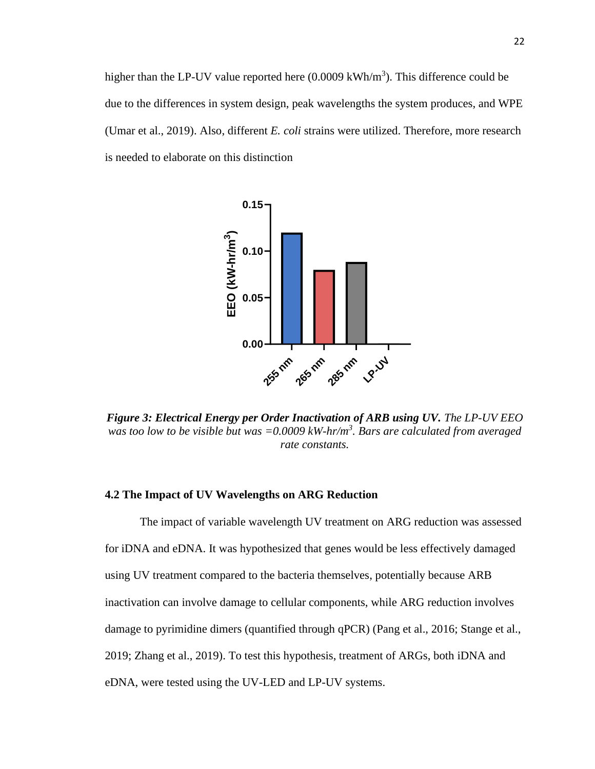higher than the LP-UV value reported here  $(0.0009 \text{ kWh/m}^3)$ . This difference could be due to the differences in system design, peak wavelengths the system produces, and WPE (Umar et al., 2019). Also, different *E. coli* strains were utilized. Therefore, more research is needed to elaborate on this distinction



*Figure 3: Electrical Energy per Order Inactivation of ARB using UV. The LP-UV EEO was too low to be visible but was =0.0009 kW-hr/m<sup>3</sup> . Bars are calculated from averaged rate constants.*

### **4.2 The Impact of UV Wavelengths on ARG Reduction**

The impact of variable wavelength UV treatment on ARG reduction was assessed for iDNA and eDNA. It was hypothesized that genes would be less effectively damaged using UV treatment compared to the bacteria themselves, potentially because ARB inactivation can involve damage to cellular components, while ARG reduction involves damage to pyrimidine dimers (quantified through qPCR) (Pang et al., 2016; Stange et al., 2019; Zhang et al., 2019). To test this hypothesis, treatment of ARGs, both iDNA and eDNA, were tested using the UV-LED and LP-UV systems.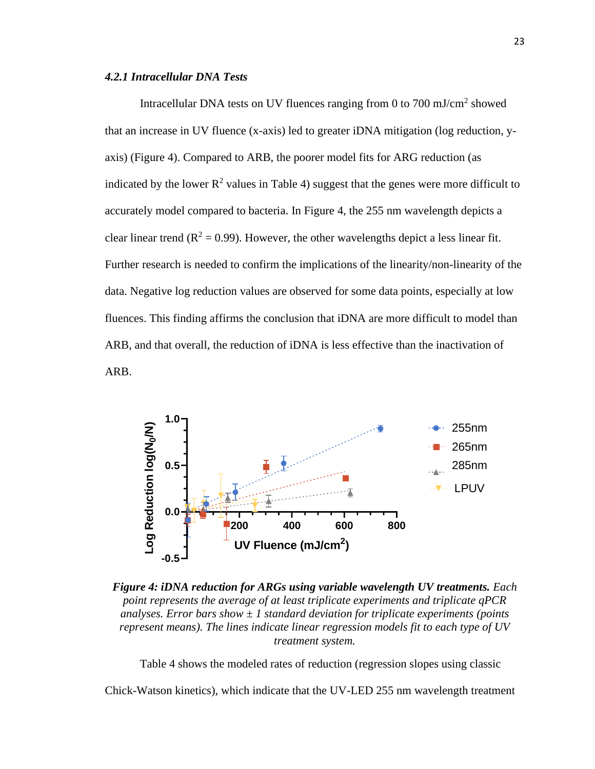#### *4.2.1 Intracellular DNA Tests*

Intracellular DNA tests on UV fluences ranging from 0 to 700 mJ/cm<sup>2</sup> showed that an increase in UV fluence (x-axis) led to greater iDNA mitigation (log reduction, yaxis) (Figure 4). Compared to ARB, the poorer model fits for ARG reduction (as indicated by the lower  $R^2$  values in Table 4) suggest that the genes were more difficult to accurately model compared to bacteria. In Figure 4, the 255 nm wavelength depicts a clear linear trend ( $\mathbb{R}^2 = 0.99$ ). However, the other wavelengths depict a less linear fit. Further research is needed to confirm the implications of the linearity/non-linearity of the data. Negative log reduction values are observed for some data points, especially at low fluences. This finding affirms the conclusion that iDNA are more difficult to model than ARB, and that overall, the reduction of iDNA is less effective than the inactivation of ARB.



*Figure 4: iDNA reduction for ARGs using variable wavelength UV treatments. Each point represents the average of at least triplicate experiments and triplicate qPCR analyses. Error bars show*  $\pm 1$  *standard deviation for triplicate experiments (points represent means). The lines indicate linear regression models fit to each type of UV treatment system.* 

Table 4 shows the modeled rates of reduction (regression slopes using classic

Chick-Watson kinetics), which indicate that the UV-LED 255 nm wavelength treatment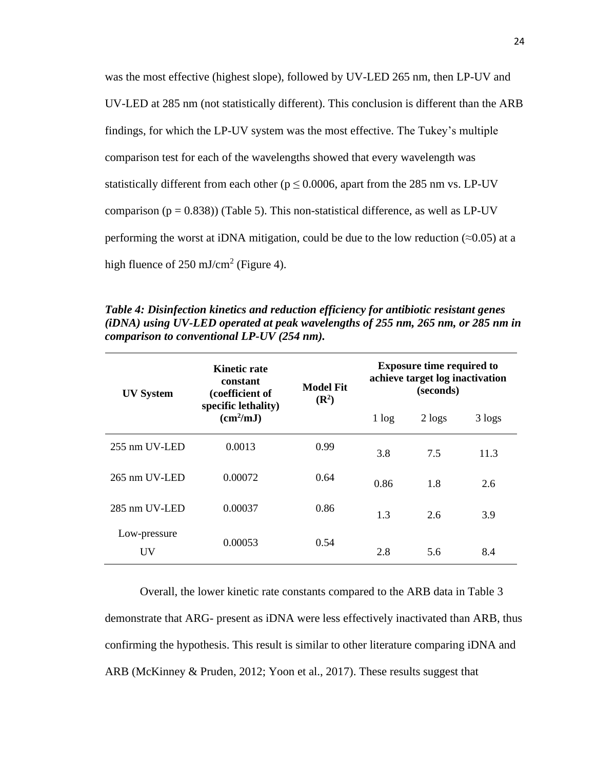was the most effective (highest slope), followed by UV-LED 265 nm, then LP-UV and UV-LED at 285 nm (not statistically different). This conclusion is different than the ARB findings, for which the LP-UV system was the most effective. The Tukey's multiple comparison test for each of the wavelengths showed that every wavelength was statistically different from each other ( $p \le 0.0006$ , apart from the 285 nm vs. LP-UV comparison ( $p = 0.838$ )) (Table 5). This non-statistical difference, as well as LP-UV performing the worst at iDNA mitigation, could be due to the low reduction ( $\approx 0.05$ ) at a high fluence of  $250 \text{ mJ/cm}^2$  (Figure 4).

**UV System Kinetic rate constant (coefficient of specific lethality) (cm<sup>2</sup> /mJ) Model Fit (R<sup>2</sup> ) Exposure time required to achieve target log inactivation (seconds)**  $1 log 2 log s 3 log s$ 255 nm UV-LED 0.0013 0.99 3.8 7.5 11.3 265 nm UV-LED 0.00072 0.64 0.86 1.8 2.6 285 nm UV-LED 0.00037 0.86 1.3 2.6 3.9 Low-pressure UV 0.00053 0.54 2.8 5.6 8.4

*Table 4: Disinfection kinetics and reduction efficiency for antibiotic resistant genes (iDNA) using UV-LED operated at peak wavelengths of 255 nm, 265 nm, or 285 nm in comparison to conventional LP-UV (254 nm).*

Overall, the lower kinetic rate constants compared to the ARB data in Table 3 demonstrate that ARG- present as iDNA were less effectively inactivated than ARB, thus confirming the hypothesis. This result is similar to other literature comparing iDNA and ARB (McKinney & Pruden, 2012; Yoon et al., 2017). These results suggest that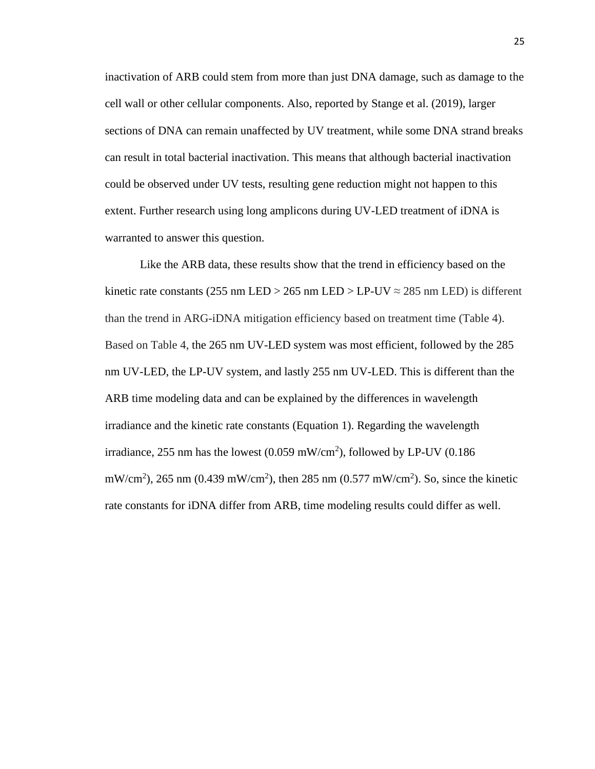inactivation of ARB could stem from more than just DNA damage, such as damage to the cell wall or other cellular components. Also, reported by Stange et al. (2019), larger sections of DNA can remain unaffected by UV treatment, while some DNA strand breaks can result in total bacterial inactivation. This means that although bacterial inactivation could be observed under UV tests, resulting gene reduction might not happen to this extent. Further research using long amplicons during UV-LED treatment of iDNA is warranted to answer this question.

Like the ARB data, these results show that the trend in efficiency based on the kinetic rate constants (255 nm LED > 265 nm LED > LP-UV  $\approx$  285 nm LED) is different than the trend in ARG-iDNA mitigation efficiency based on treatment time (Table 4). Based on Table 4, the 265 nm UV-LED system was most efficient, followed by the 285 nm UV-LED, the LP-UV system, and lastly 255 nm UV-LED. This is different than the ARB time modeling data and can be explained by the differences in wavelength irradiance and the kinetic rate constants (Equation 1). Regarding the wavelength irradiance, 255 nm has the lowest  $(0.059 \text{ mW/cm}^2)$ , followed by LP-UV  $(0.186$ mW/cm<sup>2</sup>), 265 nm (0.439 mW/cm<sup>2</sup>), then 285 nm (0.577 mW/cm<sup>2</sup>). So, since the kinetic rate constants for iDNA differ from ARB, time modeling results could differ as well.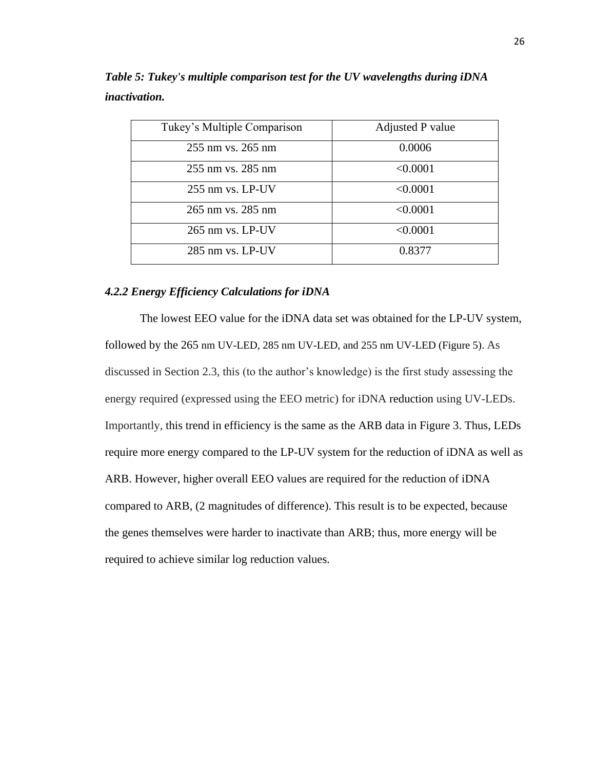| Tukey's Multiple Comparison | Adjusted P value |
|-----------------------------|------------------|
| 255 nm vs. 265 nm           | 0.0006           |
| 255 nm vs. 285 nm           | < 0.0001         |
| 255 nm vs. LP-UV            | < 0.0001         |
| 265 nm vs. 285 nm           | < 0.0001         |
| 265 nm vs. LP-UV            | < 0.0001         |
| 285 nm vs. LP-UV            | 0.8377           |

*Table 5: Tukey's multiple comparison test for the UV wavelengths during iDNA inactivation.*

#### *4.2.2 Energy Efficiency Calculations for iDNA*

The lowest EEO value for the iDNA data set was obtained for the LP-UV system, followed by the 265 nm UV-LED, 285 nm UV-LED, and 255 nm UV-LED (Figure 5). As discussed in Section 2.3, this (to the author's knowledge) is the first study assessing the energy required (expressed using the EEO metric) for iDNA reduction using UV-LEDs. Importantly, this trend in efficiency is the same as the ARB data in Figure 3. Thus, LEDs require more energy compared to the LP-UV system for the reduction of iDNA as well as ARB. However, higher overall EEO values are required for the reduction of iDNA compared to ARB, (2 magnitudes of difference). This result is to be expected, because the genes themselves were harder to inactivate than ARB; thus, more energy will be required to achieve similar log reduction values.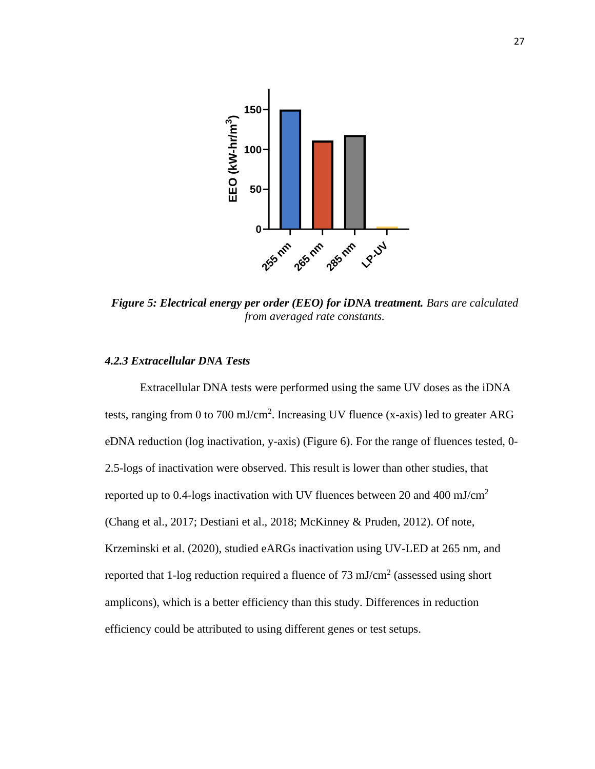

*Figure 5: Electrical energy per order (EEO) for iDNA treatment. Bars are calculated from averaged rate constants.*

#### *4.2.3 Extracellular DNA Tests*

Extracellular DNA tests were performed using the same UV doses as the iDNA tests, ranging from 0 to 700 mJ/cm<sup>2</sup>. Increasing UV fluence (x-axis) led to greater ARG eDNA reduction (log inactivation, y-axis) (Figure 6). For the range of fluences tested, 0- 2.5-logs of inactivation were observed. This result is lower than other studies, that reported up to 0.4-logs inactivation with UV fluences between 20 and 400 mJ/cm<sup>2</sup> (Chang et al., 2017; Destiani et al., 2018; McKinney & Pruden, 2012). Of note, Krzeminski et al. (2020), studied eARGs inactivation using UV-LED at 265 nm, and reported that 1-log reduction required a fluence of  $73 \text{ mJ/cm}^2$  (assessed using short amplicons), which is a better efficiency than this study. Differences in reduction efficiency could be attributed to using different genes or test setups.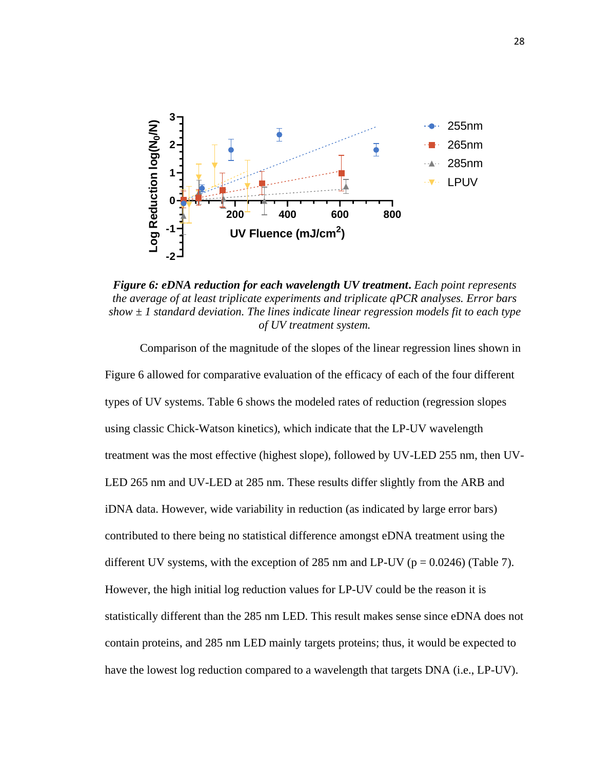

*Figure 6: eDNA reduction for each wavelength UV treatment***.** *Each point represents the average of at least triplicate experiments and triplicate qPCR analyses. Error bars show ± 1 standard deviation. The lines indicate linear regression models fit to each type of UV treatment system.*

Comparison of the magnitude of the slopes of the linear regression lines shown in Figure 6 allowed for comparative evaluation of the efficacy of each of the four different types of UV systems. Table 6 shows the modeled rates of reduction (regression slopes using classic Chick-Watson kinetics), which indicate that the LP-UV wavelength treatment was the most effective (highest slope), followed by UV-LED 255 nm, then UV-LED 265 nm and UV-LED at 285 nm. These results differ slightly from the ARB and iDNA data. However, wide variability in reduction (as indicated by large error bars) contributed to there being no statistical difference amongst eDNA treatment using the different UV systems, with the exception of 285 nm and LP-UV ( $p = 0.0246$ ) (Table 7). However, the high initial log reduction values for LP-UV could be the reason it is statistically different than the 285 nm LED. This result makes sense since eDNA does not contain proteins, and 285 nm LED mainly targets proteins; thus, it would be expected to have the lowest log reduction compared to a wavelength that targets DNA (i.e., LP-UV).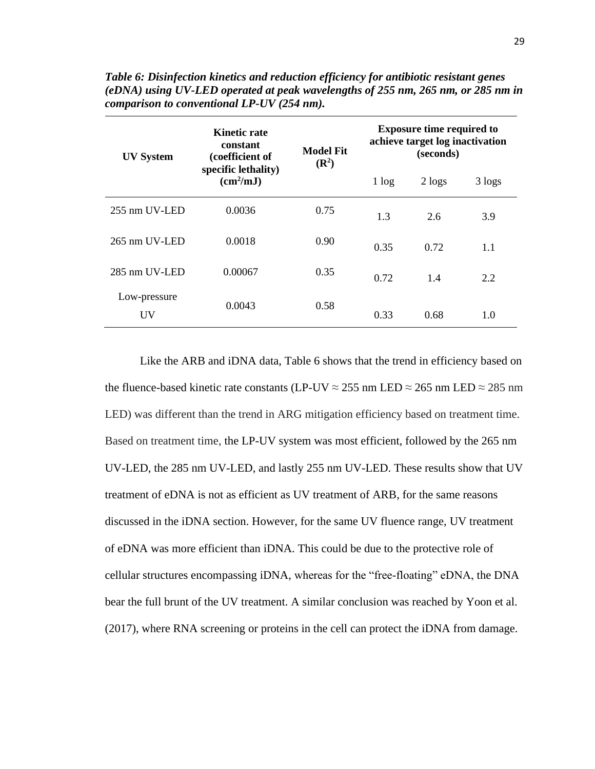| <b>UV System</b>          | <b>Kinetic rate</b><br>constant<br>(coefficient of | <b>Model Fit</b><br>$(\mathbb{R}^2)$ | <b>Exposure time required to</b><br>achieve target log inactivation<br>(seconds) |            |        |
|---------------------------|----------------------------------------------------|--------------------------------------|----------------------------------------------------------------------------------|------------|--------|
|                           | specific lethality)<br>(cm <sup>2</sup> /mJ)       |                                      | 1 log                                                                            | $2 \log s$ | 3 logs |
| 255 nm UV-LED             | 0.0036                                             | 0.75                                 | 1.3                                                                              | 2.6        | 3.9    |
| $265$ nm $UV-LED$         | 0.0018                                             | 0.90                                 | 0.35                                                                             | 0.72       | 1.1    |
| 285 nm UV-LED             | 0.00067                                            | 0.35                                 | 0.72                                                                             | 1.4        | 2.2    |
| Low-pressure<br><b>UV</b> | 0.0043                                             | 0.58                                 | 0.33                                                                             | 0.68       | 1.0    |

*Table 6: Disinfection kinetics and reduction efficiency for antibiotic resistant genes (eDNA) using UV-LED operated at peak wavelengths of 255 nm, 265 nm, or 285 nm in comparison to conventional LP-UV (254 nm).*

Like the ARB and iDNA data, Table 6 shows that the trend in efficiency based on the fluence-based kinetic rate constants (LP-UV  $\approx$  255 nm LED  $\approx$  265 nm LED  $\approx$  285 nm LED) was different than the trend in ARG mitigation efficiency based on treatment time. Based on treatment time, the LP-UV system was most efficient, followed by the 265 nm UV-LED, the 285 nm UV-LED, and lastly 255 nm UV-LED. These results show that UV treatment of eDNA is not as efficient as UV treatment of ARB, for the same reasons discussed in the iDNA section. However, for the same UV fluence range, UV treatment of eDNA was more efficient than iDNA. This could be due to the protective role of cellular structures encompassing iDNA, whereas for the "free-floating" eDNA, the DNA bear the full brunt of the UV treatment. A similar conclusion was reached by Yoon et al. (2017), where RNA screening or proteins in the cell can protect the iDNA from damage.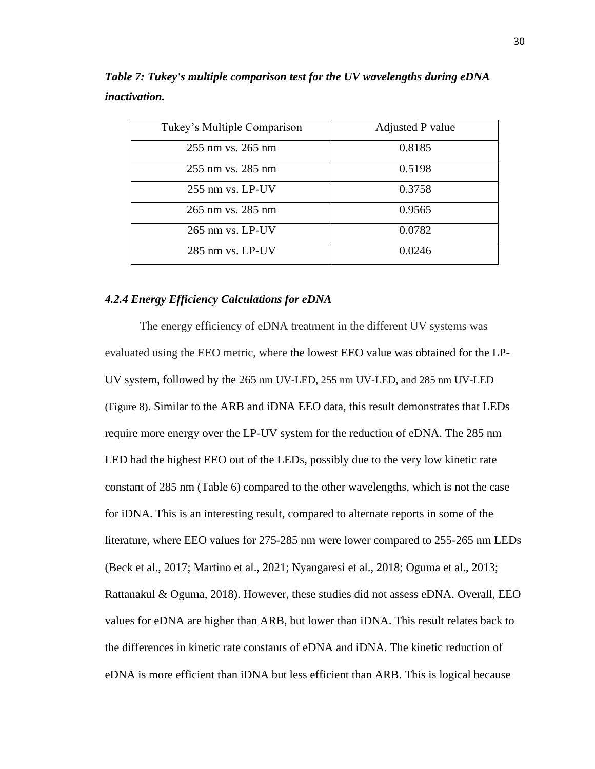| Tukey's Multiple Comparison | Adjusted P value |
|-----------------------------|------------------|
| 255 nm vs. 265 nm           | 0.8185           |
| 255 nm vs. 285 nm           | 0.5198           |
| 255 nm vs. LP-UV            | 0.3758           |
| 265 nm vs. 285 nm           | 0.9565           |
| $265$ nm vs. LP-UV          | 0.0782           |
| 285 nm vs. LP-UV            | 0.0246           |

*Table 7: Tukey's multiple comparison test for the UV wavelengths during eDNA inactivation.*

### *4.2.4 Energy Efficiency Calculations for eDNA*

The energy efficiency of eDNA treatment in the different UV systems was evaluated using the EEO metric, where the lowest EEO value was obtained for the LP-UV system, followed by the 265 nm UV-LED, 255 nm UV-LED, and 285 nm UV-LED (Figure 8). Similar to the ARB and iDNA EEO data, this result demonstrates that LEDs require more energy over the LP-UV system for the reduction of eDNA. The 285 nm LED had the highest EEO out of the LEDs, possibly due to the very low kinetic rate constant of 285 nm (Table 6) compared to the other wavelengths, which is not the case for iDNA. This is an interesting result, compared to alternate reports in some of the literature, where EEO values for 275-285 nm were lower compared to 255-265 nm LEDs (Beck et al., 2017; Martino et al., 2021; Nyangaresi et al., 2018; Oguma et al., 2013; Rattanakul & Oguma, 2018). However, these studies did not assess eDNA. Overall, EEO values for eDNA are higher than ARB, but lower than iDNA. This result relates back to the differences in kinetic rate constants of eDNA and iDNA. The kinetic reduction of eDNA is more efficient than iDNA but less efficient than ARB. This is logical because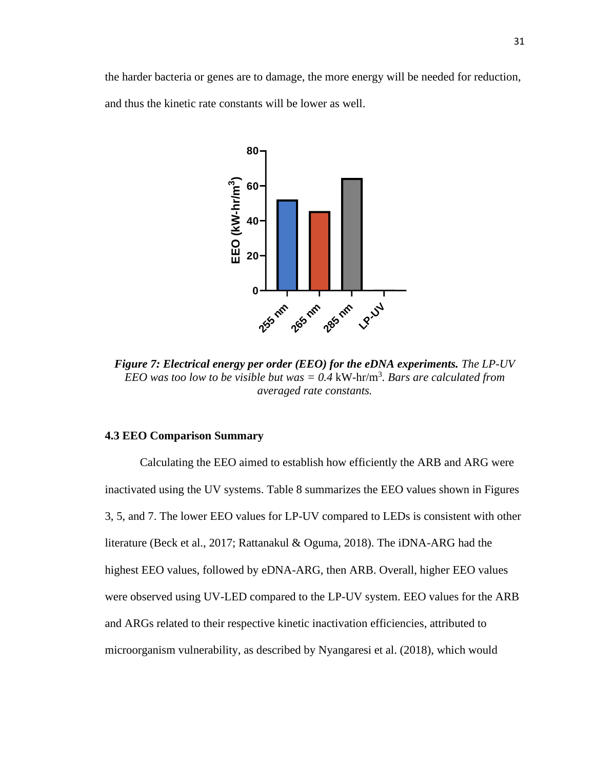the harder bacteria or genes are to damage, the more energy will be needed for reduction, and thus the kinetic rate constants will be lower as well.



*Figure 7: Electrical energy per order (EEO) for the eDNA experiments. The LP-UV EEO was too low to be visible but was*  $= 0.4$  kW-hr/m<sup>3</sup>. *Bars are calculated from averaged rate constants.*

#### **4.3 EEO Comparison Summary**

Calculating the EEO aimed to establish how efficiently the ARB and ARG were inactivated using the UV systems. Table 8 summarizes the EEO values shown in Figures 3, 5, and 7. The lower EEO values for LP-UV compared to LEDs is consistent with other literature (Beck et al., 2017; Rattanakul & Oguma, 2018). The iDNA-ARG had the highest EEO values, followed by eDNA-ARG, then ARB. Overall, higher EEO values were observed using UV-LED compared to the LP-UV system. EEO values for the ARB and ARGs related to their respective kinetic inactivation efficiencies, attributed to microorganism vulnerability, as described by Nyangaresi et al. (2018), which would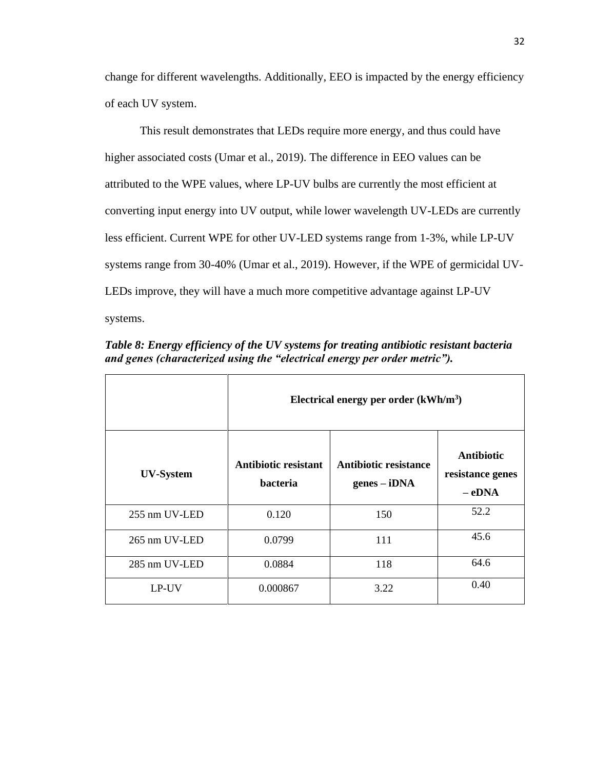change for different wavelengths. Additionally, EEO is impacted by the energy efficiency of each UV system.

This result demonstrates that LEDs require more energy, and thus could have higher associated costs (Umar et al., 2019). The difference in EEO values can be attributed to the WPE values, where LP-UV bulbs are currently the most efficient at converting input energy into UV output, while lower wavelength UV-LEDs are currently less efficient. Current WPE for other UV-LED systems range from 1-3%, while LP-UV systems range from 30-40% (Umar et al., 2019). However, if the WPE of germicidal UV-LEDs improve, they will have a much more competitive advantage against LP-UV systems.

*Table 8: Energy efficiency of the UV systems for treating antibiotic resistant bacteria and genes (characterized using the "electrical energy per order metric").*

|                  | Electrical energy per order $(kWh/m3)$  |                                         |                                                  |  |
|------------------|-----------------------------------------|-----------------------------------------|--------------------------------------------------|--|
| <b>UV-System</b> | Antibiotic resistant<br><b>bacteria</b> | Antibiotic resistance<br>$genes - iDNA$ | <b>Antibiotic</b><br>resistance genes<br>$-eDNA$ |  |
| 255 nm UV-LED    | 0.120                                   | 150                                     | 52.2                                             |  |
| 265 nm UV-LED    | 0.0799                                  | 111                                     | 45.6                                             |  |
| 285 nm UV-LED    | 0.0884                                  | 118                                     | 64.6                                             |  |
| LP-UV            | 0.000867                                | 3.22                                    | 0.40                                             |  |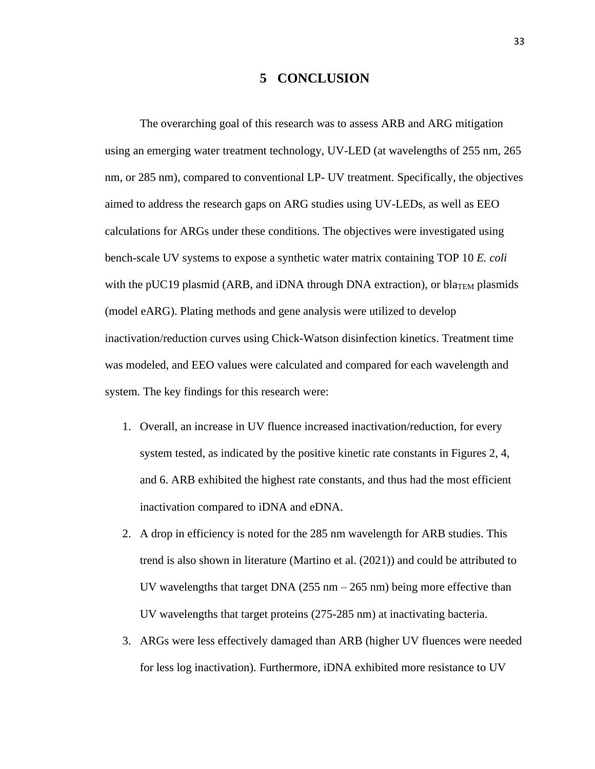# **5 CONCLUSION**

The overarching goal of this research was to assess ARB and ARG mitigation using an emerging water treatment technology, UV-LED (at wavelengths of 255 nm, 265 nm, or 285 nm), compared to conventional LP- UV treatment. Specifically, the objectives aimed to address the research gaps on ARG studies using UV-LEDs, as well as EEO calculations for ARGs under these conditions. The objectives were investigated using bench-scale UV systems to expose a synthetic water matrix containing TOP 10 *E. coli* with the pUC19 plasmid (ARB, and iDNA through DNA extraction), or bla<sub>TEM</sub> plasmids (model eARG). Plating methods and gene analysis were utilized to develop inactivation/reduction curves using Chick-Watson disinfection kinetics. Treatment time was modeled, and EEO values were calculated and compared for each wavelength and system. The key findings for this research were:

- 1. Overall, an increase in UV fluence increased inactivation/reduction, for every system tested, as indicated by the positive kinetic rate constants in Figures 2, 4, and 6. ARB exhibited the highest rate constants, and thus had the most efficient inactivation compared to iDNA and eDNA.
- 2. A drop in efficiency is noted for the 285 nm wavelength for ARB studies. This trend is also shown in literature (Martino et al. (2021)) and could be attributed to UV wavelengths that target DNA ( $255$  nm  $- 265$  nm) being more effective than UV wavelengths that target proteins (275-285 nm) at inactivating bacteria.
- 3. ARGs were less effectively damaged than ARB (higher UV fluences were needed for less log inactivation). Furthermore, iDNA exhibited more resistance to UV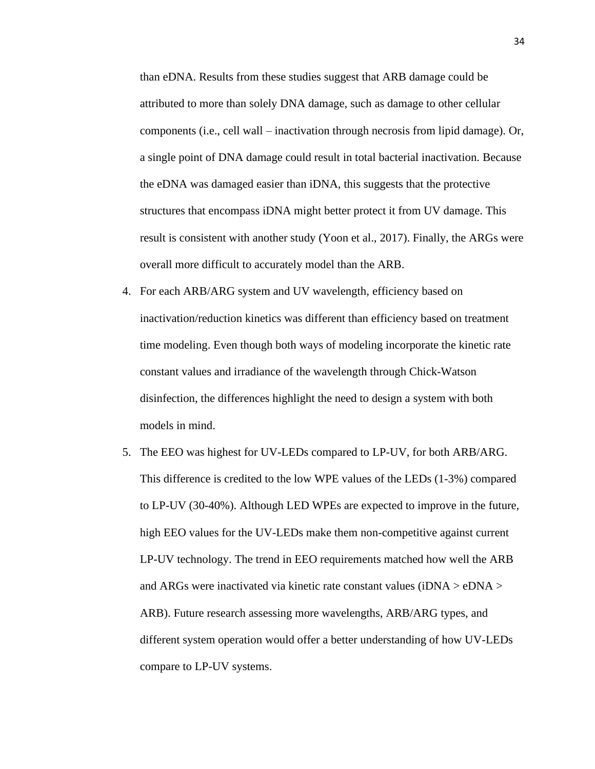than eDNA. Results from these studies suggest that ARB damage could be attributed to more than solely DNA damage, such as damage to other cellular components (i.e., cell wall – inactivation through necrosis from lipid damage). Or, a single point of DNA damage could result in total bacterial inactivation. Because the eDNA was damaged easier than iDNA, this suggests that the protective structures that encompass iDNA might better protect it from UV damage. This result is consistent with another study (Yoon et al., 2017). Finally, the ARGs were overall more difficult to accurately model than the ARB.

- 4. For each ARB/ARG system and UV wavelength, efficiency based on inactivation/reduction kinetics was different than efficiency based on treatment time modeling. Even though both ways of modeling incorporate the kinetic rate constant values and irradiance of the wavelength through Chick-Watson disinfection, the differences highlight the need to design a system with both models in mind.
- 5. The EEO was highest for UV-LEDs compared to LP-UV, for both ARB/ARG. This difference is credited to the low WPE values of the LEDs (1-3%) compared to LP-UV (30-40%). Although LED WPEs are expected to improve in the future, high EEO values for the UV-LEDs make them non-competitive against current LP-UV technology. The trend in EEO requirements matched how well the ARB and ARGs were inactivated via kinetic rate constant values (iDNA > eDNA > ARB). Future research assessing more wavelengths, ARB/ARG types, and different system operation would offer a better understanding of how UV-LEDs compare to LP-UV systems.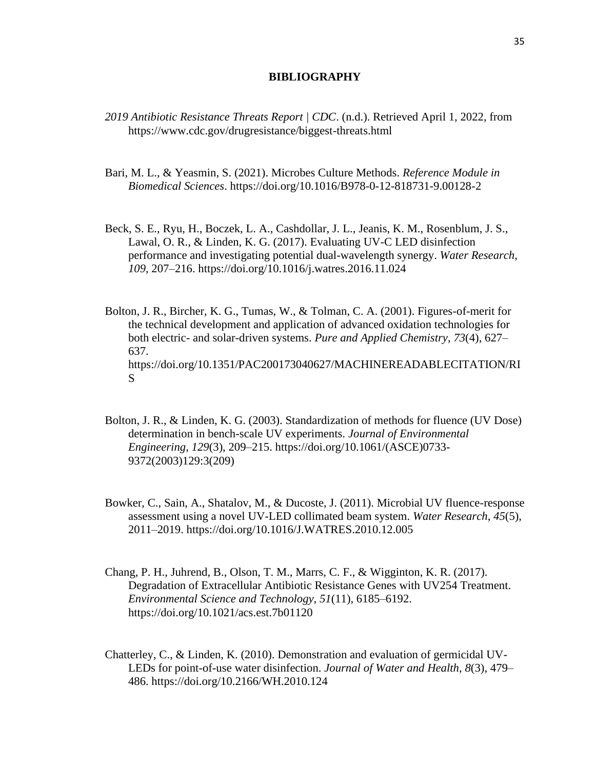#### **BIBLIOGRAPHY**

- *2019 Antibiotic Resistance Threats Report | CDC*. (n.d.). Retrieved April 1, 2022, from https://www.cdc.gov/drugresistance/biggest-threats.html
- Bari, M. L., & Yeasmin, S. (2021). Microbes Culture Methods. *Reference Module in Biomedical Sciences*. https://doi.org/10.1016/B978-0-12-818731-9.00128-2
- Beck, S. E., Ryu, H., Boczek, L. A., Cashdollar, J. L., Jeanis, K. M., Rosenblum, J. S., Lawal, O. R., & Linden, K. G. (2017). Evaluating UV-C LED disinfection performance and investigating potential dual-wavelength synergy. *Water Research*, *109*, 207–216. https://doi.org/10.1016/j.watres.2016.11.024
- Bolton, J. R., Bircher, K. G., Tumas, W., & Tolman, C. A. (2001). Figures-of-merit for the technical development and application of advanced oxidation technologies for both electric- and solar-driven systems. *Pure and Applied Chemistry*, *73*(4), 627– 637. https://doi.org/10.1351/PAC200173040627/MACHINEREADABLECITATION/RI S
- Bolton, J. R., & Linden, K. G. (2003). Standardization of methods for fluence (UV Dose) determination in bench-scale UV experiments. *Journal of Environmental Engineering*, *129*(3), 209–215. https://doi.org/10.1061/(ASCE)0733- 9372(2003)129:3(209)
- Bowker, C., Sain, A., Shatalov, M., & Ducoste, J. (2011). Microbial UV fluence-response assessment using a novel UV-LED collimated beam system. *Water Research*, *45*(5), 2011–2019. https://doi.org/10.1016/J.WATRES.2010.12.005
- Chang, P. H., Juhrend, B., Olson, T. M., Marrs, C. F., & Wigginton, K. R. (2017). Degradation of Extracellular Antibiotic Resistance Genes with UV254 Treatment. *Environmental Science and Technology*, *51*(11), 6185–6192. https://doi.org/10.1021/acs.est.7b01120
- Chatterley, C., & Linden, K. (2010). Demonstration and evaluation of germicidal UV-LEDs for point-of-use water disinfection. *Journal of Water and Health*, *8*(3), 479– 486. https://doi.org/10.2166/WH.2010.124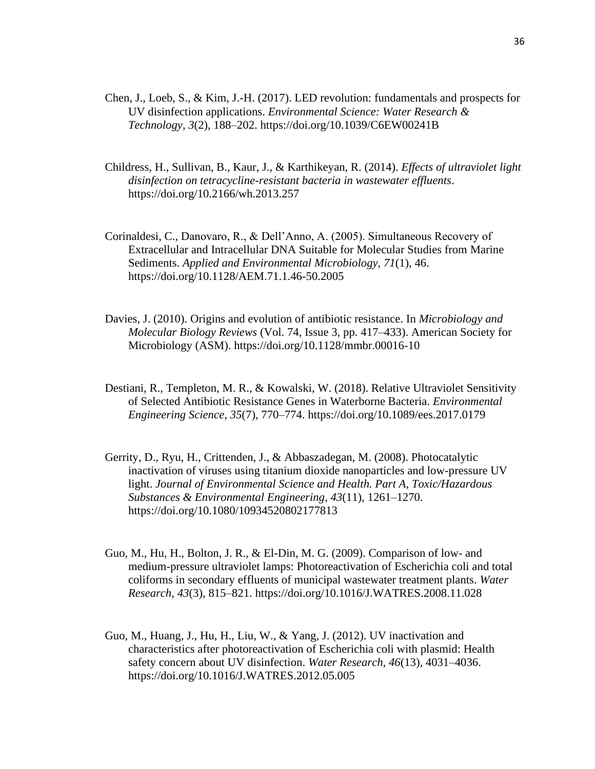- Chen, J., Loeb, S., & Kim, J.-H. (2017). LED revolution: fundamentals and prospects for UV disinfection applications. *Environmental Science: Water Research & Technology*, *3*(2), 188–202. https://doi.org/10.1039/C6EW00241B
- Childress, H., Sullivan, B., Kaur, J., & Karthikeyan, R. (2014). *Effects of ultraviolet light disinfection on tetracycline-resistant bacteria in wastewater effluents*. https://doi.org/10.2166/wh.2013.257
- Corinaldesi, C., Danovaro, R., & Dell'Anno, A. (2005). Simultaneous Recovery of Extracellular and Intracellular DNA Suitable for Molecular Studies from Marine Sediments. *Applied and Environmental Microbiology*, *71*(1), 46. https://doi.org/10.1128/AEM.71.1.46-50.2005
- Davies, J. (2010). Origins and evolution of antibiotic resistance. In *Microbiology and Molecular Biology Reviews* (Vol. 74, Issue 3, pp. 417–433). American Society for Microbiology (ASM). https://doi.org/10.1128/mmbr.00016-10
- Destiani, R., Templeton, M. R., & Kowalski, W. (2018). Relative Ultraviolet Sensitivity of Selected Antibiotic Resistance Genes in Waterborne Bacteria. *Environmental Engineering Science*, *35*(7), 770–774. https://doi.org/10.1089/ees.2017.0179
- Gerrity, D., Ryu, H., Crittenden, J., & Abbaszadegan, M. (2008). Photocatalytic inactivation of viruses using titanium dioxide nanoparticles and low-pressure UV light. *Journal of Environmental Science and Health. Part A, Toxic/Hazardous Substances & Environmental Engineering*, *43*(11), 1261–1270. https://doi.org/10.1080/10934520802177813
- Guo, M., Hu, H., Bolton, J. R., & El-Din, M. G. (2009). Comparison of low- and medium-pressure ultraviolet lamps: Photoreactivation of Escherichia coli and total coliforms in secondary effluents of municipal wastewater treatment plants. *Water Research*, *43*(3), 815–821. https://doi.org/10.1016/J.WATRES.2008.11.028
- Guo, M., Huang, J., Hu, H., Liu, W., & Yang, J. (2012). UV inactivation and characteristics after photoreactivation of Escherichia coli with plasmid: Health safety concern about UV disinfection. *Water Research*, *46*(13), 4031–4036. https://doi.org/10.1016/J.WATRES.2012.05.005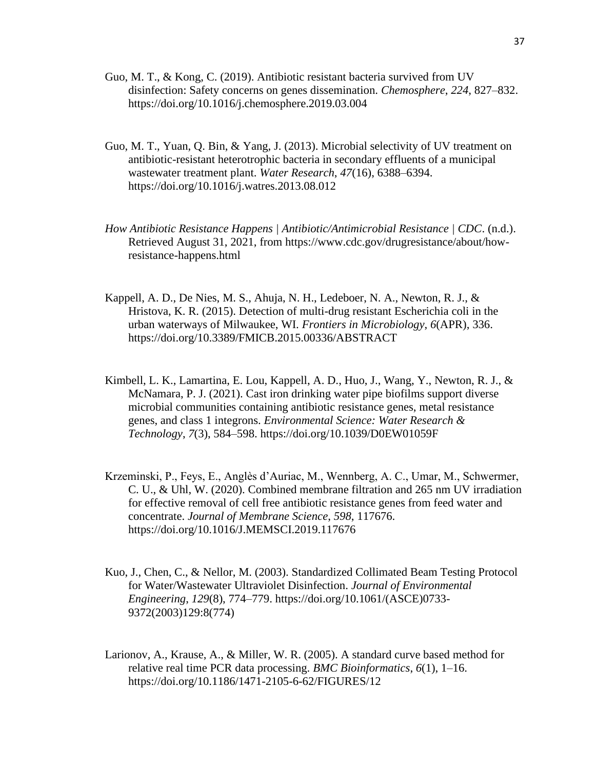- Guo, M. T., & Kong, C. (2019). Antibiotic resistant bacteria survived from UV disinfection: Safety concerns on genes dissemination. *Chemosphere*, *224*, 827–832. https://doi.org/10.1016/j.chemosphere.2019.03.004
- Guo, M. T., Yuan, Q. Bin, & Yang, J. (2013). Microbial selectivity of UV treatment on antibiotic-resistant heterotrophic bacteria in secondary effluents of a municipal wastewater treatment plant. *Water Research*, *47*(16), 6388–6394. https://doi.org/10.1016/j.watres.2013.08.012
- *How Antibiotic Resistance Happens | Antibiotic/Antimicrobial Resistance | CDC*. (n.d.). Retrieved August 31, 2021, from https://www.cdc.gov/drugresistance/about/howresistance-happens.html
- Kappell, A. D., De Nies, M. S., Ahuja, N. H., Ledeboer, N. A., Newton, R. J.,  $\&$ Hristova, K. R. (2015). Detection of multi-drug resistant Escherichia coli in the urban waterways of Milwaukee, WI. *Frontiers in Microbiology*, *6*(APR), 336. https://doi.org/10.3389/FMICB.2015.00336/ABSTRACT
- Kimbell, L. K., Lamartina, E. Lou, Kappell, A. D., Huo, J., Wang, Y., Newton, R. J., & McNamara, P. J. (2021). Cast iron drinking water pipe biofilms support diverse microbial communities containing antibiotic resistance genes, metal resistance genes, and class 1 integrons. *Environmental Science: Water Research & Technology*, *7*(3), 584–598. https://doi.org/10.1039/D0EW01059F
- Krzeminski, P., Feys, E., Anglès d'Auriac, M., Wennberg, A. C., Umar, M., Schwermer, C. U., & Uhl, W. (2020). Combined membrane filtration and 265 nm UV irradiation for effective removal of cell free antibiotic resistance genes from feed water and concentrate. *Journal of Membrane Science*, *598*, 117676. https://doi.org/10.1016/J.MEMSCI.2019.117676
- Kuo, J., Chen, C., & Nellor, M. (2003). Standardized Collimated Beam Testing Protocol for Water/Wastewater Ultraviolet Disinfection. *Journal of Environmental Engineering*, *129*(8), 774–779. https://doi.org/10.1061/(ASCE)0733- 9372(2003)129:8(774)
- Larionov, A., Krause, A., & Miller, W. R. (2005). A standard curve based method for relative real time PCR data processing. *BMC Bioinformatics*, *6*(1), 1–16. https://doi.org/10.1186/1471-2105-6-62/FIGURES/12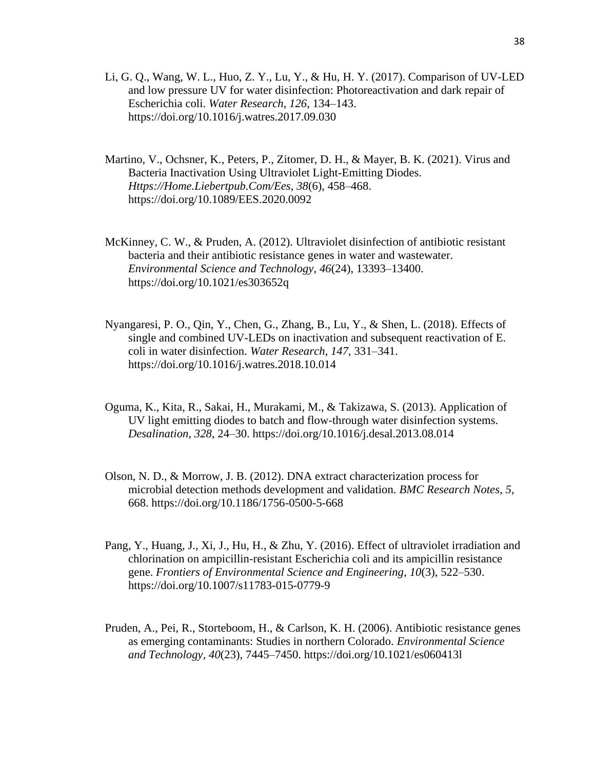- Li, G. Q., Wang, W. L., Huo, Z. Y., Lu, Y., & Hu, H. Y. (2017). Comparison of UV-LED and low pressure UV for water disinfection: Photoreactivation and dark repair of Escherichia coli. *Water Research*, *126*, 134–143. https://doi.org/10.1016/j.watres.2017.09.030
- Martino, V., Ochsner, K., Peters, P., Zitomer, D. H., & Mayer, B. K. (2021). Virus and Bacteria Inactivation Using Ultraviolet Light-Emitting Diodes. *Https://Home.Liebertpub.Com/Ees*, *38*(6), 458–468. https://doi.org/10.1089/EES.2020.0092
- McKinney, C. W., & Pruden, A. (2012). Ultraviolet disinfection of antibiotic resistant bacteria and their antibiotic resistance genes in water and wastewater. *Environmental Science and Technology*, *46*(24), 13393–13400. https://doi.org/10.1021/es303652q
- Nyangaresi, P. O., Qin, Y., Chen, G., Zhang, B., Lu, Y., & Shen, L. (2018). Effects of single and combined UV-LEDs on inactivation and subsequent reactivation of E. coli in water disinfection. *Water Research*, *147*, 331–341. https://doi.org/10.1016/j.watres.2018.10.014
- Oguma, K., Kita, R., Sakai, H., Murakami, M., & Takizawa, S. (2013). Application of UV light emitting diodes to batch and flow-through water disinfection systems. *Desalination*, *328*, 24–30. https://doi.org/10.1016/j.desal.2013.08.014
- Olson, N. D., & Morrow, J. B. (2012). DNA extract characterization process for microbial detection methods development and validation. *BMC Research Notes*, *5*, 668. https://doi.org/10.1186/1756-0500-5-668
- Pang, Y., Huang, J., Xi, J., Hu, H., & Zhu, Y. (2016). Effect of ultraviolet irradiation and chlorination on ampicillin-resistant Escherichia coli and its ampicillin resistance gene. *Frontiers of Environmental Science and Engineering*, *10*(3), 522–530. https://doi.org/10.1007/s11783-015-0779-9
- Pruden, A., Pei, R., Storteboom, H., & Carlson, K. H. (2006). Antibiotic resistance genes as emerging contaminants: Studies in northern Colorado. *Environmental Science and Technology*, *40*(23), 7445–7450. https://doi.org/10.1021/es060413l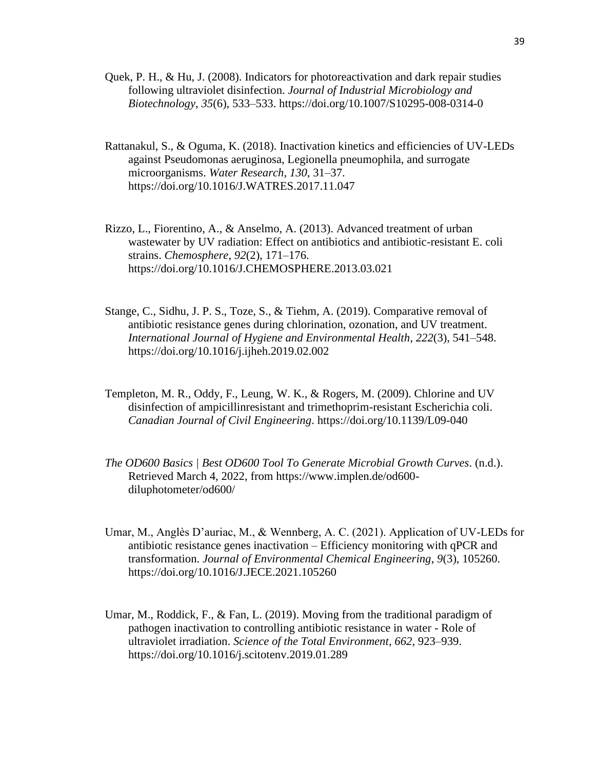- Quek, P. H., & Hu, J. (2008). Indicators for photoreactivation and dark repair studies following ultraviolet disinfection. *Journal of Industrial Microbiology and Biotechnology*, *35*(6), 533–533. https://doi.org/10.1007/S10295-008-0314-0
- Rattanakul, S., & Oguma, K. (2018). Inactivation kinetics and efficiencies of UV-LEDs against Pseudomonas aeruginosa, Legionella pneumophila, and surrogate microorganisms. *Water Research*, *130*, 31–37. https://doi.org/10.1016/J.WATRES.2017.11.047
- Rizzo, L., Fiorentino, A., & Anselmo, A. (2013). Advanced treatment of urban wastewater by UV radiation: Effect on antibiotics and antibiotic-resistant E. coli strains. *Chemosphere*, *92*(2), 171–176. https://doi.org/10.1016/J.CHEMOSPHERE.2013.03.021
- Stange, C., Sidhu, J. P. S., Toze, S., & Tiehm, A. (2019). Comparative removal of antibiotic resistance genes during chlorination, ozonation, and UV treatment. *International Journal of Hygiene and Environmental Health*, *222*(3), 541–548. https://doi.org/10.1016/j.ijheh.2019.02.002
- Templeton, M. R., Oddy, F., Leung, W. K., & Rogers, M. (2009). Chlorine and UV disinfection of ampicillinresistant and trimethoprim-resistant Escherichia coli. *Canadian Journal of Civil Engineering*. https://doi.org/10.1139/L09-040
- *The OD600 Basics | Best OD600 Tool To Generate Microbial Growth Curves*. (n.d.). Retrieved March 4, 2022, from https://www.implen.de/od600 diluphotometer/od600/
- Umar, M., Anglès D'auriac, M., & Wennberg, A. C. (2021). Application of UV-LEDs for antibiotic resistance genes inactivation – Efficiency monitoring with qPCR and transformation. *Journal of Environmental Chemical Engineering*, *9*(3), 105260. https://doi.org/10.1016/J.JECE.2021.105260
- Umar, M., Roddick, F., & Fan, L. (2019). Moving from the traditional paradigm of pathogen inactivation to controlling antibiotic resistance in water - Role of ultraviolet irradiation. *Science of the Total Environment*, *662*, 923–939. https://doi.org/10.1016/j.scitotenv.2019.01.289